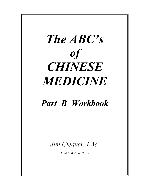

# *Part B Workbook*

*Jim Cleaver LAc.*

*Muddy Bottom Press*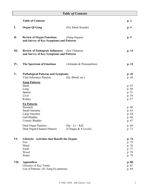|      | <b>Table of Contents</b>                                                                                      |                                         |                                                    |
|------|---------------------------------------------------------------------------------------------------------------|-----------------------------------------|----------------------------------------------------|
|      | <b>Table of Contents</b>                                                                                      |                                         | p. 2                                               |
| I.   | <b>Organ Qi Gong</b>                                                                                          | (Six Silent Sounds)                     | p.4                                                |
| II.  | <b>Review of Organ Functions</b><br>and Survey of Key Symptoms and Patterns                                   | (Zang Organs)                           | p.5                                                |
| Ш.   | <b>Review of Pathogenic Influences</b><br>and Survey of Key Symptoms and Patterns                             | (Six Climates)                          | p. 14                                              |
| IV.  | <b>The Spectrum of Emotions</b>                                                                               | (Attitudes & Personalities)             | p. 22                                              |
| V.   | <b>Pathological Patterns and Symptoms</b><br><b>Vital Substance Patterns</b>                                  | (Qi, Blood, etc.)                       | p. 42<br>p. 44                                     |
|      | <b>Zang Patterns</b><br>Heart<br>Lung<br>Spleen<br>Liver<br>Kidney                                            |                                         | p. 47<br>p. 49<br>p. 51<br>p. 54<br>p. 57          |
|      | <b>Fu Patterns</b><br>Stomach<br>Small Intestine<br>Large Intestine<br>Gall Bladder<br><b>Urinary Bladder</b> |                                         | p.60<br>p. 63<br>p. 64<br>p. 66<br>p. 67           |
|      | Dual Organ Patterns<br>Dual Organ/Channel Patterns                                                            | $(Sp-Lr-Kd)$<br>$(6$ Stages & 4 Levels) | p. 68<br>p. 71                                     |
| VI.  | Lifestyle: Activities that Benefit the Organs<br>Fire<br>Metal<br>Earth<br>Wood<br>Water                      |                                         | p. 74<br>p. 75<br>p. 76<br>p. 77<br>p. 78<br>p. 79 |
| VII. | <b>Appendices</b><br>Glossary of Key Terms<br>List of Patterns (81 Zang-Fu patterns)                          |                                         | p.80<br>p. 81<br>p. 84                             |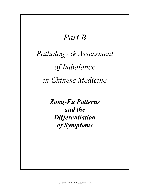# *Part B*

# *Pathology & Assessment of Imbalance in Chinese Medicine*

*Zang-Fu Patterns and the Differentiation of Symptoms*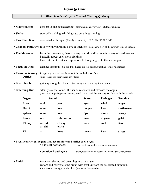# *Organ Qi Gong*

#### **Six Silent Sounds – Organ / Channel Clearing Qi Gong**

| • Maintenance:                                                                                               | concept is like house keeping (best when done every day – stuff accumulates)                                                                                   |                                                                                                             |                                                                                 |                 |                |
|--------------------------------------------------------------------------------------------------------------|----------------------------------------------------------------------------------------------------------------------------------------------------------------|-------------------------------------------------------------------------------------------------------------|---------------------------------------------------------------------------------|-----------------|----------------|
| • Shake:                                                                                                     | start with shaking, stir things up, get things moving                                                                                                          |                                                                                                             |                                                                                 |                 |                |
| • Face Direction:                                                                                            |                                                                                                                                                                | associated with organ (directly or indirectly) $(E, S, SW, W, N, & NE)$                                     |                                                                                 |                 |                |
|                                                                                                              |                                                                                                                                                                | • Channel Pathway: follow with your mind's eye & intention (the general flow of the pathway is good enough) |                                                                                 |                 |                |
| • The Movement:                                                                                              | basically repeat each move six times,<br>then rest for at least six respirations before going on to the next organ.                                            |                                                                                                             | learn the movement, these are easy, and should be done in a very relaxed manner |                 |                |
| • Focus on Digit:<br>channel terminus (big toe, little finger, big toe, thumb, bubbling spring, ring finger) |                                                                                                                                                                |                                                                                                             |                                                                                 |                 |                |
| • Focus on Sensory<br>Orifice:                                                                               | imagine you are breathing out through this orifice<br>(eyes, tongue, lips, nose/sinuses, ears, throat)                                                         |                                                                                                             |                                                                                 |                 |                |
| • Breathing In:                                                                                              | guide qi along the channel (opening and clearing the channel)                                                                                                  |                                                                                                             |                                                                                 |                 |                |
| • Breathing Out:                                                                                             | silently say the sound, the sound resonates and cleanses the organ<br>(releases qi & pathogenic excesses), send the qi out the sensory orifice with the exhale |                                                                                                             |                                                                                 |                 |                |
| <b>Organ</b>                                                                                                 | <b>Sound</b>                                                                                                                                                   |                                                                                                             | <b>Sense</b>                                                                    | <b>Pathogen</b> | <b>Emotion</b> |
| Liver                                                                                                        | $=$ yü                                                                                                                                                         | yew                                                                                                         | eyes                                                                            | wind            | anger          |
| <b>Heart</b>                                                                                                 | $=$ ho                                                                                                                                                         | hoe                                                                                                         | tongue                                                                          | heat            | restlessness   |
| <b>Spleen</b>                                                                                                | $=$ hu                                                                                                                                                         | hoo                                                                                                         | lips                                                                            | damp            | worry          |
| Lungs                                                                                                        | $=$ si                                                                                                                                                         | suh / ssszzz                                                                                                | nose                                                                            | dryness         | grief          |
| <b>Kidney</b>                                                                                                | $=$ chui<br>or chi                                                                                                                                             | chway<br>chrrr                                                                                              | ears                                                                            | cold            | fear           |
| TB                                                                                                           | $=$                                                                                                                                                            | heee                                                                                                        | throat                                                                          | heat            | stress         |

**• Breathe away pathogens that accumulate and afflict each organ**

**• physical pathogens:** (wind, heat, damp, dryness, cold, heat again)

- **emotional pathogens:** (anger, restlessness or negativity, worry, grief, fear, stress)
- **Finish:** focus on relaxing and breathing into the organ restore and rejuvenate the organ with fresh qi from the associated direction, its seasonal energy, and color (best when done outdoors)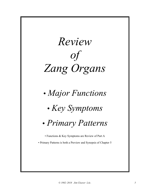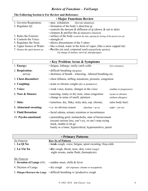# *Review of Functions – Fei/Lungs*

| • Major Functions Review       |                                                                                       |  |  |
|--------------------------------|---------------------------------------------------------------------------------------|--|--|
| 1. Governs Respiration:        | • spec. exhalation<br>(Kd rule inhalation)                                            |  |  |
| 2. Regulates Qi:               | • formation of the body's zhen/true qi                                                |  |  |
|                                | • controls the descent $\&$ diffusion of qi (down, $\&$ out to skin)                  |  |  |
|                                | $\cdot$ cleanses $\&$ purifies the qi (depurative function)                           |  |  |
| 3. Rules the Exterior:         | • surface of the body (controls the skin, opening $\&$ closing of the pores) (wei qi) |  |  |
| 4. Controls the Voice:         | • strength of                                                                         |  |  |
| 5. Regulates the Nose:         | • allows discernment of the 5 odors                                                   |  |  |
| 6. Upper Source of Water:      | • like a cloud, water in the form of vapor, (like a snow capped mt)                   |  |  |
| 7. Houses the spirit known as: | $\cdot$ Po (the yin soul, corporeal soul) (animal/body spirit(s))                     |  |  |
|                                | (in charge of instinct, survival, and physique)                                       |  |  |

# **The Following Section is For Review and Reference:**

|                           | • Key Problem Areas & Symptoms                                                                                                                                                                          |                                           |
|---------------------------|---------------------------------------------------------------------------------------------------------------------------------------------------------------------------------------------------------|-------------------------------------------|
| 1. Energy:                | · fatigue, lethargy; easily catch colds                                                                                                                                                                 | (low resistance)                          |
| 2. Respiration:<br>airway | • difficult breathing (dyspnea)<br>• shortness of breath - wheezing - labored breathing etc.                                                                                                            |                                           |
| 3. Chest discomfort:      | • chest fullness, stifling sensations, pressure, congestion                                                                                                                                             |                                           |
| 4. Coughing:              | • acute or chronic coughs (dry or productive)                                                                                                                                                           |                                           |
| 5. Voice:                 | • weak voice, hoarse, changes in the voice                                                                                                                                                              | (sudden or progressive)                   |
| 6. Nose & Sinuses:        | • sneezing, runny or dry nose, sinus congestion<br>• change in sense of smell, epistaxis                                                                                                                | (acute or chronic)<br>(airborn allergies) |
| 7. Skin:                  | · lusterless, dry, flaky, itchy skin, esp. chronic,                                                                                                                                                     | (also body hair)                          |
| 8. Abnormal sweating:     | • i.e. no obvious reason<br>$(d$ aytime = qi xu                                                                                                                                                         | $night = yin xu$                          |
| 9. Fluid Retention:       | · facial edema, urinary retention or incontinence                                                                                                                                                       |                                           |
| 10. Psycho-emotional:     | • unremitting grief, melancholia, state of bereavement<br>(recent) serious loss, can't cry, or can't stop crying<br>stuck, unable to let go<br>lonely or a loner, hypercritical, hypersensitive; purist |                                           |

| • Primary Patterns            |                                                                                           |
|-------------------------------|-------------------------------------------------------------------------------------------|
| Xu Patterns                   | <b>Key Sx of Pattern</b>                                                                  |
| 1. Lu Qi Xu                   | • weak cough, voice; fatigue, spont sweating; freq colds                                  |
| 2. Lu Yin Xu                  | • dry cough, throat, nose, skin, voice (raspy)<br>night sweats, malar flush, (hemoptysis) |
| Shi Patterns                  |                                                                                           |
| 3. Invasion of Lungs (EPI)    | · sudden onset, chills & fever                                                            |
| 4. Dryness of Lungs           | $\cdot$ dry cough<br>$(d/t)$ exposure: climate or occupation)                             |
| 5. Phlegm Obstructs the Lungs | • difficult breathing w/ productive cough                                                 |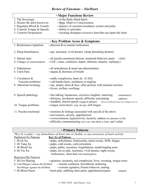# *Review of Functions – Xin/Heart*

| <b>· Major Functions Review</b> |                                                                                                |  |
|---------------------------------|------------------------------------------------------------------------------------------------|--|
| 1. The Sovereign:               | • of the Body-Mind-Spirit                                                                      |  |
| 2. Houses the spirit known as:  | · Shen Mind or Consciousness                                                                   |  |
| 3. Regulates Blood & Vessels:   | • patency of vascular/circulatory system and pulse                                             |  |
| 4. Controls Tongue & Speech:    | · ability to articulate                                                                        |  |
| 5. Controls Perspiration:       | • sweating dissipates excessive heat that can injure the heart                                 |  |
|                                 |                                                                                                |  |
|                                 | <b>· Key Problem Areas &amp; Symptoms</b>                                                      |  |
| 1. Restlessness/Agitation:      | $\cdot$ physical $\&$ /or mental restlessness                                                  |  |
| 2. Sleep disturbances:          | • esp. insomnia, vivid dreams (sleep disturbing dreams)                                        |  |
| 3. Mental state:                | · all psycho-emotional distress, irrational behavior, panic<br>(ADD)                           |  |
| 4. Changes of consciousness:    | • LOC, coma, confusion, stupor; delirium, insanity, (epilepsy)                                 |  |
|                                 |                                                                                                |  |
| 5. Palpitations:                | · all arrhythmias & heart rate abnormalities                                                   |  |
| 6. Chest Pain:                  | • angina & shortness of breath                                                                 |  |
| 7. Circulatory &                | • ruddy complexion, heart dz. (CAD)                                                            |  |
| Vascular problems:              | • cold hands (feet), numbness or tingling                                                      |  |
| 8. Abnormal sweating:           | · esp. armpit, chest & face; often profuse with minimal exertion                               |  |
|                                 | · fevers; axillary swellings                                                                   |  |
|                                 |                                                                                                |  |
| 9. Speech pathology:            | · fast talking, loquacious, excessive laughter; stuttering<br>(entertainers)                   |  |
|                                 | • delirious, incoherent speech, difficulty articulating<br>(aphasia)                           |  |
|                                 | · muddled, slurred speech (suggests phlegm)<br>(these are different from voice changes for Lu) |  |
| 10. Tongue problems:            | • tongue sores/ulcers (esp. the tip), stiff tongue                                             |  |
| 11. Psycho-emotional:           | • emotions & feelings associated with any/all of the above                                     |  |
|                                 | · nervousness, anxiety, apprehension                                                           |  |
|                                 | • overexcitement, hyperactivity, hysteria; sadness (no pleasure in life)                       |  |
|                                 | • difficulty communicating (can't say what think or feel), can't relate                        |  |

# • **Primary Patterns**

| *Key Sx is palps = any disturbance of heart rate or rhythm, or any awareness of heart activity |                                                                      |  |
|------------------------------------------------------------------------------------------------|----------------------------------------------------------------------|--|
| Depletion/Xu Patterns                                                                          | <b>Key Sx of Pattern</b>                                             |  |
| 1. Ht Qi Xu                                                                                    | · palps, arrhythmias, bradycardia, spont sweats, SOB, fatigue        |  |
| 2. Ht Yang Xu                                                                                  | · palps, cold sweats, cold extremities                               |  |
| 3. Ht Blood Xu                                                                                 | · palps, pallor, insomnia, forgetfulness, numb/tingling arms         |  |
| 4. Ht Yin Xu                                                                                   | · palps, not so pale, insomnia, vivid dreams, night sweats           |  |
|                                                                                                | restlessness, chest heat (also hands/palms)                          |  |
| <b>Repletion/Shi Patterns</b>                                                                  |                                                                      |  |
| 5. Ht Fire Blazing                                                                             | • agitation, insomnia, red complexion, fever, sweating, tongue sores |  |
| • mental confusion, bewildered, muttering<br>6. Cold-Phlegm Confuses the Ht/Mind               |                                                                      |  |
| Hot-Phlegm Agitates the Ht/Mind                                                                | · extreme agitation, bizarre behavior, ranting                       |  |
| 7. Ht Blood Stasis                                                                             | • heart pain, stabbing chest pains, apprehension/panic<br>(angina)   |  |
|                                                                                                |                                                                      |  |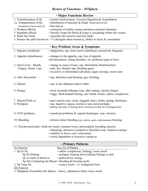| <b>• Major Functions Review</b>                                                      |                                                                                                   |  |
|--------------------------------------------------------------------------------------|---------------------------------------------------------------------------------------------------|--|
| 1. Transformation of Qi:                                                             | · extracts food essence; Governs Digestion & Assimilation                                         |  |
| 1a. Transportation of Qi:                                                            | · distribution of nutrients & fluids (Earth derived Qi)                                           |  |
| foundation of post-natal Qi                                                          | • hou-tian qi                                                                                     |  |
| 2. Produces Blood:                                                                   | • extraction of earthly essence produces material substance                                       |  |
| 3. Regulates Blood:                                                                  | · literally wraps the blood & keeps it circulating within the vessels                             |  |
| 4. Rules the Flesh:                                                                  | • nourishes the muscles and four limbs                                                            |  |
|                                                                                      | 5. Houses the spirit known as: $\cdot$ Yi (thoughts-ideas-memory), ability to focus & concentrate |  |
|                                                                                      | <b>· Key Problem Areas &amp; Symptoms</b>                                                         |  |
| 1. Digestive problems:                                                               | · indigestion, esp. loose stools (unformed, excessively frequent)                                 |  |
| 2. Appetite disturbances:                                                            | • changes to the appetite, esp. loss of appetite                                                  |  |
|                                                                                      | mal-absorption, eating disorders, wt. problems (gain or loss)                                     |  |
| 3. Oral Cavity: Mouth,                                                               | · change in sense of taste; esp. diminished, bland/tasteless                                      |  |
| Tongue, Gums, Lips:                                                                  | · pale, dry, blotchy lips; bleeding gums                                                          |  |
|                                                                                      | • excessive or diminished salivation, sugar cravings, sweet taste                                 |  |
| 4. Abd. discomfort:                                                                  | • esp. distention and bloating; gas, belching                                                     |  |
| 5. Edema:                                                                            | • esp. in the abdomen and/or limbs                                                                |  |
| 6. Energy:                                                                           | • tired, lassitude-lethargic (esp. after eating); chronic fatigue                                 |  |
|                                                                                      | · foggy, thick-headed feeling, can't think clearly; sallow complexion                             |  |
| 7. Muscle/Flesh sx:                                                                  | · poor muscle tone; weak, sluggish; heavy limbs; spongy fleshiness                                |  |
| 8. Prolapses:                                                                        | · esp. digestive organs, uterine or ano-rectal prolapse                                           |  |
|                                                                                      | (sinking, pressing, or bearing down sensations in abd. &/or hypogastrium)                         |  |
| 9. GYN problems:                                                                     | • menstrual problems & vaginal discharges (esp. chronic)                                          |  |
| 10. Bleeding:                                                                        | • chronic minor bleeding (esp. uterine, gums, subcutaneous) bruising                              |  |
|                                                                                      |                                                                                                   |  |
| 11. Psycho-emotional: think too much, constant worry; preoccupied, brooding, pensive |                                                                                                   |  |
|                                                                                      | · obsessing; obsessive-compulsive disorders (esp. related to eating)                              |  |
|                                                                                      | · inability to focus, can't concentrate                                                           |  |
|                                                                                      | • overly dependent or excessive caregiver                                                         |  |

| • Primary Patterns                                                      |                                                   |  |
|-------------------------------------------------------------------------|---------------------------------------------------|--|
| Xu Patterns                                                             | Key Sx of Pattern                                 |  |
| 1. Sp Qi Xu                                                             | · sallow complexion, lethargy, loose stools       |  |
| Sp Qi Sinking                                                           | • prolapse; bearing down/sinking feelings in abd. |  |
| Qi xu leads to blood xu                                                 | $\cdot$ pallor & low energy                       |  |
| Sp Not Containing the Blood $\cdot$ bleeding $\&$ bruising easily       |                                                   |  |
| 2. Sp Yang Xu                                                           | $\cdot$ watery stools – w/ undigested food        |  |
| Shi Patterns                                                            |                                                   |  |
| 3. Dampness Encumbers the Spleen • heavy, edematous limbs, loose stools |                                                   |  |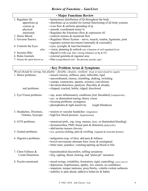# *Review of Functions – Gan/Liver*

| <b>• Major Functions Review</b> |                                                                                |  |
|---------------------------------|--------------------------------------------------------------------------------|--|
| 1. Regulates Qi:                | • harmonious distribution of Qi throughout the body                            |  |
| apportions qi                   | • distributes qi as needed for normal functioning of all body systems          |  |
| courses qi                      | $\cdot$ even flow $\&$ uniform spreading of qi                                 |  |
| physical:                       | • smooth, coordinated motor fx                                                 |  |
| emotional:                      | $\cdot$ Regulates the Emotions (flow & expression of)                          |  |
| 2. Stores Blood:                | $\cdot$ controls menses $\&$ menstrual flow                                    |  |
| 3. Governs Sinews:              | • Regulates Motor System – nerve, muscle, tendon, ligaments, joint             |  |
|                                 | $\cdot$ regulates normal movement (internally $\&$ externally)                 |  |
| 4. Controls the Eyes:           | • eyes, eyesight, & tears/lacrimation                                          |  |
| also                            | $\cdot$ vision, planning $\&$ outlook (are a function of well regulated liver) |  |
| 5. Secretes Bile:               | $\cdot$ digestive role (esp. fats) (strong influence on Sp & ST)               |  |
| 6. Rules Genitals:              | $\cdot$ external genitalia $\&$ inguinal area                                  |  |
| 7. Houses the spirit known as:  | $\cdot$ Hun (yang/ethereal soul – the persona, psyche, ego)                    |  |

# • **Key Problem Areas & Symptoms**

| 1. Motor problems:                               | Wood should be strong, but pliable $-\text{flexible}$ , eleastic, resilient (body & mind should be supple)<br>· muscle tension, stiffness, pain; inflexible, rigid                                                       |
|--------------------------------------------------|--------------------------------------------------------------------------------------------------------------------------------------------------------------------------------------------------------------------------|
|                                                  | · uncoordinated, clumsy; trembling, shaking, twitching<br>· cramps, contracture, spasms, seizures, convulsions                                                                                                           |
| nail problems:                                   | • deviation/distortion, paralysis, flaccidity & atrophy<br>· chipped, cracked, brittle, ridged; discolored                                                                                                               |
| 2. Eye/Vision problems:                          | · esp. acute inflammatory conditions [red, bloodshot] (conjuctivitis)<br>• exc. or diminished tearing; blurry vision<br>• focusing problems, nystagmus                                                                   |
|                                                  | $\cdot$ photophobia $\&$ light sensitivity<br>(night blindness)                                                                                                                                                          |
| 3. Headaches, Dizziness,<br>Tinnitus, Syncope:   | • tension or vascular headaches (migraines)<br>· high/low blood pressure (hypertension)                                                                                                                                  |
| 4. GYN problems:                                 | • menstrual prob., esp. irreg. menses, [exc. or diminished bleeding]<br>· dysmenorrhea; PMS, breast pain & distention (polycystic)<br>· abd/uterine masses (fibroids)                                                    |
| 5. Genital problems:                             | • (ext. genitalia) itching, pain $\&$ swelling (inguinal $\&$ testicular hernias)                                                                                                                                        |
| 6. Digestive problems:                           | · indigestion (esp. of fats), abd pain & fullness<br>• bowel movements alternate betw loose & constipated<br>• bitter taste; jaundice; vomiting/spitting up blood or bile                                                |
| 7. Chest Fullness &<br><b>Costal Distention:</b> | • hypochondrial discomfort, stifling sensations<br>• freq. sighing, throat clearing, and "plum-pit" sensation                                                                                                            |
| 8. Psycho-emotional:                             | • mood swings, irritability, frustration; rigid, controlling; (manic-depr dz)<br>• depression, hopelessness, apathy, low esteem, no confidence<br>• impatient, temper tantrums, pissy/bitchy, volatile-violent outbursts |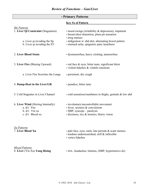# • **Primary Patterns Key Sx of Pattern** *Shi Patterns* 1. **Liver Qi Constraint** (Stagnation) • mood swings (irritability & depression), impatient • breast/chest distention, plum pit sensation • irreg menses a. Liver qi invading the Sp • indigestion w/ abd dist; alternating bowel pattern b. Liver qi invading the ST • stomach ache, epigastric pain; heartburn 2. **Liver Blood Stasis** • dysmenorrhea, heavy clotting; amenorrhea 3. **Liver Fire** (Blazing Upward) • red face & eyes, bitter taste, significant thirst • violent hdaches & volatile emotions a. Liver Fire Scorches the Lungs • persistent, dry cough 4. **Damp-Heat in the Liver/GB** • jaundice, bitter taste 5. Cold Stagnates in Liver Channel • cold sensations/numbness in thighs, genitals & low abd 6. **Liver Wind** (Stirring Internally) • involuntary/uncontrollable movement a.  $d/t$ : Fire • Fever, seizures & convulsions b.  $d/t$ : Yin xu • HBP, syncope – paralysis c. d/t: Blood xu • dizziness, tics & tremors, blurry vision *Xu Patterns* 7. **Liver Blood Xu** • pale face, eyes, nails; late periods & scant menses • tendons undernourished, stiff & inflexible • vertex hdaches

*Mixed Patterns*

8. **Liver** (Yin Xu) **Yang Rising** • irrit., headaches; tinnitus, (HBP, hypertensive dz)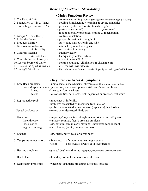|                                  | <b>• Major Functions Review</b>                                        |
|----------------------------------|------------------------------------------------------------------------|
| 1. The Root of Life:             | • controls entire life process (birth-growth-maturation-aging & death) |
| 2. Foundation of Yin & Yang:     | $\cdot$ cooling $\&$ moistening / warming $\&$ drying principles       |
| 3. Stores Jing (Essence/DNA):    | • pre-natal (inherited/constitutional) <i>original</i>                 |
|                                  | • post-natal (acquired)<br>operational                                 |
|                                  | $\cdot$ root of all bodily processes, healing $\&$ regeneration        |
| 4. Grasps & Roots the Qi:        | • controls inhalation                                                  |
| 5. Rules the Bones:              | • proper formation $&$ strength of                                     |
| 6. Produces Marrow:              | $\cdot$ sui = bone marrow, brain and CSF                               |
| 7. Governs Reproduction          | • internal reproductive organs                                         |
| & Sexuality:                     | • sexual function (libido)                                             |
| 8. Controls Hearing              | • auditory acuity                                                      |
| & Head Hair:                     | • hair quantity, color, texture                                        |
| 9. Controls the two lower yin:   | $\cdot$ ureter & anus (BL & LI)                                        |
| 10. Lower Source of Water        | $\cdot$ controls drainage (elimination & discharge of)                 |
| 11. Houses the spirit known as:  | • Zhi (the will, willfulness)                                          |
| 12. Its <i>Official</i> role is: | • the Laborer/Craftsman (works diligently – in charge of skillfulness) |

| <b>· Key Problem Areas &amp; Symptoms</b>                                             |                                                                                                                                                                                                                                  |  |  |
|---------------------------------------------------------------------------------------|----------------------------------------------------------------------------------------------------------------------------------------------------------------------------------------------------------------------------------|--|--|
| 1. Low Back problems:                                                                 | $\cdot$ lumbo-sacral aches $\&$ pains, stiffness etc. (from waist to pelvic floor)                                                                                                                                               |  |  |
| bones & spine: • pain, degeneration, spurs, osteoporosis, stiff back/spine, scoliosis |                                                                                                                                                                                                                                  |  |  |
| knees:                                                                                | $\cdot$ knee pain $\&$ /or weakness                                                                                                                                                                                              |  |  |
| teeth:                                                                                | · lots of cavities, dark teeth, teeth separated or crooked, feel weird                                                                                                                                                           |  |  |
| 2. Reproductive prob:                                                                 | $\cdot$ impotence $\&$ infertility                                                                                                                                                                                               |  |  |
|                                                                                       | • problems associated w/ menarche (esp. late) or                                                                                                                                                                                 |  |  |
|                                                                                       | • problems associated w/ menopause (esp. early), hot flashes                                                                                                                                                                     |  |  |
| Sexual dysfunction:                                                                   | · excessive or decreased libido etc.                                                                                                                                                                                             |  |  |
| 3. Urination:<br>Incontinence<br>loose stools:<br>vaginal discharge:                  | • frequency/polyuria (esp at night/nocturia), discomfort/dysuria<br>• (urinary, seminal, fecal); prostate problems<br>· esp. chronic, esp. in early morning, undigested food in stool<br>• esp. chronic, (white, not malodorous) |  |  |
| 4. Edema:                                                                             | • esp. facial, puffy eyes, or lower body                                                                                                                                                                                         |  |  |
| 5. Temperature regulation:                                                            | • Sweating:<br>afternoon/eve heat, night sweats<br>$\bullet$ Cold:<br>cold sweats, always cold, overdressed                                                                                                                      |  |  |
| 6. Hearing problems:                                                                  | · gradual deafness, tinnitus (high pitch, intermittent, worse when tired)                                                                                                                                                        |  |  |
| 7. Head Hair:<br>• thin, dry, brittle, lusterless, straw-like hair                    |                                                                                                                                                                                                                                  |  |  |
| • wheezing, asthmatic breathing, difficulty inhaling<br>8. Respiratory problems:      |                                                                                                                                                                                                                                  |  |  |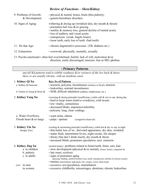# *Review of Functions – Shen/Kidney*

| 9. Problems of Growth:<br>& Development: | $\cdot$ physical $\&$ mental, bones, brain (thru puberty)<br>· genetic/hereditary disorders                                                                                                                                                                                                             |
|------------------------------------------|---------------------------------------------------------------------------------------------------------------------------------------------------------------------------------------------------------------------------------------------------------------------------------------------------------|
| 10. Signs of Aging:                      | withering $&$ drying up (wrinkled skin, dry mouth $&$ throat)<br>• premature hair loss $\&$ /or graying<br>• senility & memory loss, general decline of mental acuity<br>• loss of auditory and visual acuity<br>· osteoporosis (weak, fragile bones)<br>• loose teeth, early loss of teeth (bad teeth) |
| 11. Dz that Age:                         | • chronic degenerative processes (TB, diabetes etc.)                                                                                                                                                                                                                                                    |
| 12. Exhaustion:                          | • overwork: physically, mentally, sexually                                                                                                                                                                                                                                                              |
|                                          |                                                                                                                                                                                                                                                                                                         |

13. Psycho-emotional:• often feel overwhelmed, fearful, lack of will, motivation &/or direction, easily discouraged, insecure, fear as MO, phobias

#### • **Primary Patterns**

*any/all Kd patterns tend to exhibit weakness &/or soreness of the low back & knees these sx are usually chronic, with an insidious onset*

| 1. Kidney Qi Xu                                   | <b>Key Sx of Pattern</b>                                                                                                                                                                                                                                                                                                                       |  |  |  |
|---------------------------------------------------|------------------------------------------------------------------------------------------------------------------------------------------------------------------------------------------------------------------------------------------------------------------------------------------------------------------------------------------------|--|--|--|
| a. Kidney Qi Insecure                             | · nocturia, polyuria, incontinence (urinary or fecal), enuresis                                                                                                                                                                                                                                                                                |  |  |  |
|                                                   | · leukorrhea, seminal incontinence                                                                                                                                                                                                                                                                                                             |  |  |  |
| b. Failure to Grasp & Root Qi                     | • SOB, difficult inhalation (asthma, emphysema, etc.)                                                                                                                                                                                                                                                                                          |  |  |  |
| 2. Kidney Yang Xu                                 | (warming & drying principle) insufficiency yields cold & wet sx esp. during day<br>• hard to keep warm (tend to overdress), cold sweats<br>• low vitality, somnolence<br>· decreased libido, impotence/infertility<br>· polyuria: long, clear voidings                                                                                         |  |  |  |
| a. Water Overflows,                               | · scant urine, edema                                                                                                                                                                                                                                                                                                                           |  |  |  |
| Floods heart $&\&/$ or lungs                      | $\cdot$ palps / sputum<br>(congestive heart dz)                                                                                                                                                                                                                                                                                                |  |  |  |
| 3. Kidney Yin Xu<br>(Empty Fire)                  | (cooling & moistening principle) insufficiency yields hot & dry sx esp. at night<br>• thin build, loss of wt., shriveled appearance, dry skin, wrinkled<br>· malar flush, intermittent fevers, night sweats, lite sleeper<br>• thirsty (but don't drink much), dry mouth & throat<br>· increased libido, premature ejaculation, noct. emission |  |  |  |
| 4. Kidney Jing Xu<br>a. in children<br>b. puberty | (neutral temp) • problems related to bones/teeth, brain, ears, hair<br>• slow development (physical $\&$ /or mental), (bones, brain), congenital dz<br>· late onset, scoliosis                                                                                                                                                                 |  |  |  |
| c. in adults                                      | · signs of premature aging<br>(graying, balding, senility/memory loss, teeth, osteoporosis, decline of sensory acuity)<br>• tinnitus (intermittent, high pitch, low volume, worse when tired)                                                                                                                                                  |  |  |  |
| <i>etiol</i> : in men                             | · excessive sex/ejaculation, masturbation                                                                                                                                                                                                                                                                                                      |  |  |  |
| in women                                          | • excessive childbirths, miscarriages, abortions; chronic leukorrhea                                                                                                                                                                                                                                                                           |  |  |  |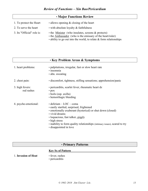#### • **Major Functions Review**

- 1. To protect the Heart allows opening  $&$  closing of the heart 2. To serve the heart • with absolute loyalty  $\&$  faithfulness 3. Its "Official" role is: • the <u>Minister</u> (who insulates, screens  $\&$  protects) • the Ambassador (who is the emissary of the heart/ruler)
	- ability to go out into the world, to relate & form relationships

| <b>· Key Problem Areas &amp; Symptoms</b> |                                                                                                                                                                                                                                                                                                                          |  |  |
|-------------------------------------------|--------------------------------------------------------------------------------------------------------------------------------------------------------------------------------------------------------------------------------------------------------------------------------------------------------------------------|--|--|
| 1. heart problems:                        | • palpitations, irregular, fast or slow heart rate<br>· insomnia<br>• abn. sweating                                                                                                                                                                                                                                      |  |  |
| 2. chest pain:                            | • discomfort, tightness, stifling sensations; apprehension/panic                                                                                                                                                                                                                                                         |  |  |
| 3. high fevers:<br>red rashes             | • pericarditis, scarlet fever, rheumatic heart dz<br>$\cdot$ pox<br>$\cdot$ boils (esp. axilla)<br>• hemorrhagic bleeding                                                                                                                                                                                                |  |  |
| 4. psycho-emotional:                      | $\cdot$ delirium – LOC – coma<br>• easily startled, surprised, frightened<br>• emotionally exuberant (hysterical) or shut down (closed)<br>• vivid dreams<br>• loquacious, fast talker, giggly<br>• high stress<br>• inability to form quality relationships (in timacy issues), scared to try<br>• disappointed in love |  |  |

# • **Primary Patterns**

#### **Key Sx of Pattern**

1. **Invasion of Heat** • fever, rashes

- 
- pericarditis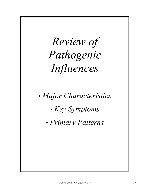# *Review of Pathogenic Influences*

*• Major Characteristics*

*• Key Symptoms*

*• Primary Patterns*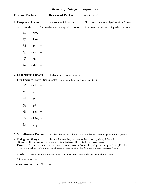#### *Review of Pathogenic Influences*

| <b>Disease Factors:</b> |                  | <b>Review of Part A</b>                 | (see also p. 24)                                                    |  |
|-------------------------|------------------|-----------------------------------------|---------------------------------------------------------------------|--|
| 1. Exogenous Factors:   |                  | <b>Environmental Factors</b>            | $(EPI = exogenous/external pathogenic influence)$                   |  |
| <b>Six Climates:</b>    |                  | (the weather – meteorological excesses) | $\bullet$ if contracted = external $\bullet$ if produced = internal |  |
| 風                       | $\cdot$ fēng $=$ |                                         |                                                                     |  |
| 寒                       | $\cdot$ hán =    |                                         |                                                                     |  |
| 熱                       | ∙ rè             | $=$                                     |                                                                     |  |
| 燥                       | $\cdot$ zào =    |                                         |                                                                     |  |
| 濕                       | $\cdot$ shī =    |                                         |                                                                     |  |
| 暑                       | • shǔ            |                                         |                                                                     |  |

#### **2. Endogenous Factors:** (the Emotions – internal weather)

 **Five Feelings** / Seven Sentiments: **(**i.e. the full range of human emotion)

怒 • **nǜ** = 喜 • **xǐ** = 思 • **sī** = 憂 • yōu = 悲 • **bēi** = 恐 • **kǒng** = 驚 • jīng =

#### **3. Miscellaneous Factors:** includes all other possibilities. I also divide them into Endogenous & Exogenous

- a. **Endog**. = Lifestyle: diet, work / exercise, rest, sexual behavior, hygiene, & heredity (things over which we have control, except heredity which is arguable, but is obviously endogenous)
- b. **Exog**. = Circumstances: acts of nature / trauma, wounds, burns, bites, stings, poison, parasites, epidemics (things over which we don't have much control, except being careful) *"the slings and arrows of outrageous fortune"*
- c. **Stasis**: (lack of circulation + accumulation in reciprocal relationship, each breeds the other)
	- *5 Stagnations: =*

 *6 depressions: (Liù Yù) =*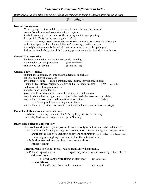#### *Instructions: In the Title Box below Fill in the translation for the Chinese after the equal sign*

#### **General Associations**

- Wind is yang in nature and therefore tends to injure the body's yin aspects
- comes from the east and associated with springtime
- its the heavenly breath that returns life in spring and initiates sprouting
- has special affinity for the wood organs (Lr/GB) also the Lu as the organ most in contact with the environment, smt called the vulnerable/sensitive organ
- called the "spearhead of a hundred diseases"; meaning it easily penetrates the body's defenses and is the vehicle that carries disease and other pathogenic influences into the body; thus it is frequently present in combination with other factors

#### **General Characteristics**

- by definition wind is moving and constantly changing
- often cooling or chill producing (wind-chill factor)
- can also be very drying (clothes on a line)

#### **General Body Responses**

- sx that: move around, or come and go, alternate, or oscillate
- all abnormalities of movement
- involuntary / erratic shaking, tremors, tics, spasms, convulsions, seizures
- immobility, stiffness, paralysis, atrophy, and loss of motor control (CVA = wind strike)
- sudden onset or disappearance of sx.
- migratory and intermittent sx.
- **pain** tends to be achy, stiffness, muscle tension, but can be intense
- wind tends to effect the upper body (esp. the head, neck, shoulders upper back and chest)
- wind effects the skin, pores and superficial musculature (wei qi) sx. of itching and rashes, aching and stiffness
- wind effects the emotions usu. volatile emotional outbursts (more subtle = mood swings)

#### **Examples of diseases** often attributed to wind

 headaches, torticollis; common colds & flu; epilepsy, stroke, Bell's palsy; urticaria; dizziness & vertigo; some types of insanity

#### **Diagnostic Patterns and Etiology**

- **External wind** (wai feng) exposure: to wide variety of natural and artificial sources mostly effects the Lungs (the Lung, incl. the nose, throat, voice and airway) (also skin, eyes & ears) obstructs the Lungs descending  $\&$  dispersing functions (headache/body ache, lack of sweat) sneezing & coughing result and reflect the nature of wind
	- by definition external invasion is a shi/excess condition
		- **Pulse**: floating
- **Internal wind** (nei feng) mostly results from Liver disharmony,
	- the Pulse is typically wiry Tongue: may be stiff or shrunken esp. after a stroke **shi conditions**:

| a. Liver yang or fire rising, creates draft | (hypertension) |
|---------------------------------------------|----------------|
| <b>xu</b> conditions:                       |                |
| b. insufficient blood, as in a vacuum       | (dizziness)    |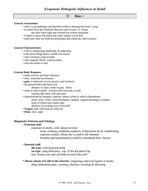#### 寒 **Hán =**

#### **General Associations**

- cold is a yin pathogen and therefore tends to damage the body's yang
- it comes from the northerly direction and is assoc. w/ winter the time when light and warmth are at their minimum
- it tends to injure the metal and water organs (Lu & Kd)
- earth and water are both yin archetypes and relatively cold in nature

#### **General Characteristics**

- Cold is contracting, hardening, & tightening
- cold slows things down, retards movement
- cold consumes yang/warmth
- cold congeals fluids, creating stasis
- cold also tends to sink

#### **General Body Response**

- under activity and hypo function
- slow, restricted movements
- **pain**, is relatively severe, precise and localized
- the person looks and feels cold
	- absence of color, white to gray (blue)
- tends to seek warmth avoids or has aversion to cold
	- warmth alleviates cold type pain
- characterized by frequent, copious, watery (clear or white) eliminations urine, stool, vomit, nasal discharges, sputum, vaginal discharges, exudates none of which have much odor
- absence of sweating even if feverish • **Tongue**: pale with clear or white fur
- 
- **Pulse**: slow, tight

#### **Diagnostic Patterns and Etiology**

#### • **External cold**:

exposure to drafty, cold, damp environs

many working conditions outdoors, refrigeration & air conditioning exposure mainly effects the Lu and/or the channels frostbite and hypothermia would be considered Misc. factors

#### • **Internal cold**:

**shi type**: cold food and drink **xu type**: yang deficiency esp. of the Kd and/or Sp fear: freezes one and can behave much like cold

\* **Direct attack of Cold to the Interior**: (ingesting cold/iced liquids or foods) sharp abdominal pain, vomiting, diarrhea, sweating & shivering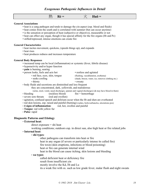#### **熱 Rè = 火 Huǒ = General Associations** • heat is a yang pathogen and tends to damage the yin aspect (esp. blood and fluids) • heat comes from the south and is correlated with summer (but can occur anytime) • is the sensation or perception of heat (subjective or objective), measurable or not • heat can effect any organ, though it has special affinity for the fire organs (Ht and Pc) • stifled/repressed, intense emotions can create fire **General Characteristics** • heat incites movement, quickens, (speeds things up), and expands • heat rises • heat produces redness and increases temperature **General Body Responses** • increased temp can be local (inflammation) or systemic (fever, febrile disease) • hyperactivity and/or hyper function • **pain** is burning, searing • person looks, feels and acts hot • restless and agitated • red face, eyes, skin, tongue (flushing, vasodilatation, erythema) • seeks cooling (shade, breeze, water, ice, removes clothing etc.) • thirsty • sweaty • body fluids and secretions are diminished and less frequent they are concentrated, dark, yellowish, and malodorous (urine, stool, vomit, nasal discharges, sputum and vaginal discharges) (& may have blood in them) • bleeding (reckless blood) fire = hemorrhage • severe sore throats (red and swollen) • agitation, confused speech and delirium occur when the Ht and shen are overheated • red skin lesions, esp. raised and painful (burning) (rashes, boils/carbuncles, ulcerations pox) • **4 signs of inflammation**: red, hot, swollen and painful • **Tongue**: red with yellow fur • **Pulse**: rapid **Diagnostic Patterns and Etiology** • **External heat**:  $direct exposure =  $shift$  heat$ working conditions; outdoors esp. in direct sun, also high heat or fire related jobs • **Internal heat**: • **shi types**: other pathogens can transform into heat or fire heat in any organ (if severe or particularly intense its called fire) fire toxin (skin eruptions, infections or blood poisoning) heat or fire can generate internal wind heat in the blood can cause itching, skin lesions and bleeding

#### • **xu types**:

called deficient heat or deficiency fire result from insufficient yin mostly involve the Kd, Ht and Lu its a weak fire with sx. such as low grade fever, malar flush and night sweats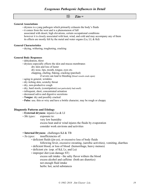燥 **Zào =** 

#### **General Associations**

- dryness is a yang pathogen which primarily exhausts the body's fluids
- it comes from the west and is a phenomenon of fall associated with desert, high elevations, certain occupational conditions
- however it is closely associated with heat, wind, and cold and may accompany any of them its effects are mostly felt by the metal and water organs (Lu, LI, & Kd)

#### **General Characteristics**

• drying, withering, toughening, cracking

#### **General Body Responses**

- dehydration, thirst
- dryness especially effects the skin and mucus membranes
	- dry skin and loss of luster
		- dry nose, lips, mouth, tongue, eyes etc.
		- chapping, chafing, flaking, cracking (parched)
			- if severe can lead to bleeding (blood vessels crack open)
- aging in general, wrinkles
- dry itching skin, scratchy throat
- dry, non-productive cough
- dry, hard stools, (constipation) (not particularly bad smell)
- infrequent, short, concentrated urination
- decreased saliva and digestive secretions
- **Tongue**: dry and possibly cracked
- **Pulse**: usu. thin or wiry and have a brittle character, may be rough or choppy

#### **Diagnostic Patterns and Etiology**

- **External dryness**: injures Lu & LI
- *Shi types:* exposure to:
	- very low humidity
		- excess heat and/or wind injures the fluids by evaporation consider work environs and activities

#### • **Internal Dryness**: challenges Kd & TB

- *Xu types:* insufficiencies of:
	- deficient fluids (jin-ye), or excessive loss of body fluids
		- following fever, excessive sweating, (aerobic activities), vomiting, diarrhea
	- deficient blood, or loss of blood (hemorrhage, heavy menses)
	- deficient yin (esp. of Kd, Lr, and Lu)
	- improper diet (can damage ST)
		- excess salt intake the salty flavor withers the blood excess alcohol and caffeine (both are diuretics) not enough fluid intake herbs: hot, acrid substances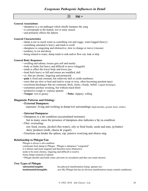### 濕 **Shī =**

#### **General Associations**

- dampness is a yin pathogen which chiefly hampers the yang
- it corresponds to the humid, wet or rainy season
- and primarily effects the Spleen

#### **General Characteristics**

- damp is not so much water as something wet and soggy, water-logged (heavy)
- something saturated is heavy and tends to swell
- dampness is congesting and obstructive, slow to change or move (viscous)
- tendency to rot and decay
- being related to water, damp tends to sink and/or flow out, leak or drip

#### **General Body Responses**

- swelling and edema; tissues gets soft and mushy
- body or limbs feel heavy and difficult to move (sluggish)
- tends to effect the lower body and lower jiao
- head feels heavy or full and senses are muddled, dull
- sx. that are chronic, lingering and protracted
- **pain** is fixed and constant, but relatively dull or yields numbness
- sores that are slow to heal and tend to weep or ooze, often becoming purulent (pus)
- excretions/discharges that are continual, thick, sticky, cloudy, turbid (vaginal discharges)
- sometimes profuse sweating, but without much thirst
- productive cough w/ copious sputum
- **Tongue**: wet or greasy **Pulse**: slippery, rolling

#### **Diagnostic Patterns and Etiology**

#### • **External Dampness**:

exposure: living and working in damp/wet surroundings (high humidity, ground, home, clothes)

#### • **Internal Dampness**:

• Dampness is a shi condition (accumulated moisture)

but in many cases the presence of dampness also indicates a Sp xu condition

• Diet: overeating:

 raw food, sweets, alcohol (fire-water), oily or fried foods, seeds and nuts, (p.butter) dairy products (milk, cheese & yogurt)

• Emotions can hinder the spleen, esp. pensive worrying and obsess sing

#### **Relationship to Phlegm/Tan**

Phlegm is always a shi condition continuum from damp to Phlegm - Phlegm is dampness "congealed" it is thicker and more stagnant and therefore more obstructive tends to be more chronic, lingering and difficult to resolve forms lumps (instead of edema) • Phlegm absorbs and holds water, prevents its circulation and thus can create dryness

#### **Two Types of Phlegm**

| substantial/tangible:     | has physical manifestation (lump, sputum etc)                              |
|---------------------------|----------------------------------------------------------------------------|
| insubstantial/intangible: | acts like Phlegm but has no obvious manifestation (many mental conditions) |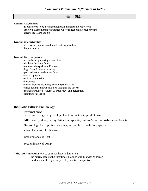### 暑 **Shǔ =**

#### **General Associations**

- is considered to be a yang pathogen, it damages the body's yin
- strictly a phenomenon of summer, whereas heat could occur anytime
- effects the Ht/Pc and Sp

#### **General Characteristics**

- overbearing, oppressive humid heat; tropical heat
- hot and sticky

#### **General Body Responses**

- expends the qi causing exhaustion
- depletes the body fluids
- confuses the spirit/mind/senses
- high fever & heavy sweating
- parched mouth and strong thirst
- loss of appetite
- sallow complexion
- headaches
- heavy, labored breathing, possible palpitations
- dazed feelings and/or muddled thoughts and speech
- reduced urination (volume & frequency) and defecation
- fainting or collapse

#### **Diagnostic Patterns and Etiology**

#### • **External only**:

exposure: to high temp and high humidity as in a tropical climate

- Mild: sweaty, thirsty, dizzy, fatigue, no appetite, restless  $\&$  uncomfortable, chest feels full
- **Severe**: high fever, profuse sweating, intense thirst, confusion, syncope
- examples: sunstroke, heatstroke
- predominance of Heat
- predominance of Damp

#### \* **the internal equivalent** to summer-heat is damp-heat

primarily effects the intestines, bladder, gall bladder  $\&$  spleen in diseases like dysentery, UTI, hepatitis, vaginitis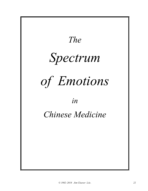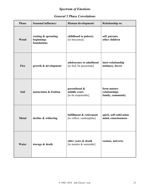# *Spectrum of Emotions*

# *General 5 Phase Correlations*

| <b>Phase</b> | <b>Seasonal influence:</b>                       | Human development:                                    | <b>Relationship to:</b>                           |
|--------------|--------------------------------------------------|-------------------------------------------------------|---------------------------------------------------|
| <b>Wood</b>  | rooting & sprouting<br>beginnings<br>foundations | childhood to puberty<br>[to be(come)]                 | self, parents,<br>other children                  |
| Fire         | growth & development                             | adolescence to adulthood<br>[to feel, be passionate]  | inter-relationship<br>intimacy, lovers            |
| <b>Soil</b>  | maturation & fruition                            | parenthood &<br>middle years<br>[to be responsible]   | form mature<br>relationships<br>family, community |
| <b>Metal</b> | decline & withering                              | fulfillment & retirement<br>[to reflect, contemplate] | spirit, self-cultivation<br>mind, consciousness   |
| Water        | storage & death                                  | elder years & death<br>[to mentor & surrender]        | cosmos, universe                                  |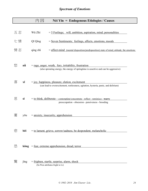|    |                                                                                                           | 因<br>Nèi Yīn = Endogenous Etiologies / Causes                                                                                                   |  |  |  |
|----|-----------------------------------------------------------------------------------------------------------|-------------------------------------------------------------------------------------------------------------------------------------------------|--|--|--|
| 五志 |                                                                                                           | Wǔ Zhì<br>$=$ 5 Feelings; will, ambition, aspiration, mind; personalities                                                                       |  |  |  |
| 七情 |                                                                                                           | Qī Qíng<br>= Seven Sentiments; feelings, affects, emotions, moods                                                                               |  |  |  |
|    | 情志<br>qíng zhì<br>= affect-mind (mental disposition/predisposition) state of mind, attitude, the emotions |                                                                                                                                                 |  |  |  |
| 怒  | nù                                                                                                        | $=$ rage, anger, wrath, fury, irritability, frustration<br>(also sprouting energy, the energy of springtime is assertive and can be aggressive) |  |  |  |
| 喜  | xĭ                                                                                                        | $=$ joy, happiness, pleasure, elation, excitement<br>(can lead to overexcitement, restlessness, agitation, hysteria, panic, and delirium)       |  |  |  |
| 思  | $S\overline{I}$                                                                                           | = to think, deliberate – contemplate/concentrate - reflect - reminisce - worry<br>preoccupation - obsession - pensiveness - brooding            |  |  |  |
|    | yōu                                                                                                       | $=$ anxiety, insecurity, apprehension                                                                                                           |  |  |  |
| 悲  | bēi                                                                                                       | = to lament, grieve, sorrow/sadness, be despondent, melancholic                                                                                 |  |  |  |
| 恐  |                                                                                                           | $k\delta ng$ = fear, extreme apprehension, dread, terror                                                                                        |  |  |  |
| 驚  | jīng                                                                                                      | $=$ frighten, startle, surprise, alarm, shock<br>(Su Wen attributes fright to Lr)                                                               |  |  |  |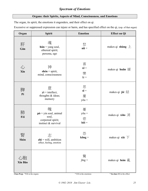# *Spectrum of Emotions*

#### **Organs: their Spirits, Aspects of Mind, Consciousness, and Emotions**

The organ, its spirit, the emotions it engenders, and their effect on qi.

Excessive or suppressed expression can injure or harm, and has specified effect on the qi, (esp. of that organ)

| Organ         | <b>Spirit</b>                                                                                             | <b>Emotion</b>                               | <b>Effect on Qi</b>                |
|---------------|-----------------------------------------------------------------------------------------------------------|----------------------------------------------|------------------------------------|
| 肝<br>Gān      | 魂<br>$hún = yang soul,$<br>ethereal spirit;<br>persona, ego                                               | 怒<br>nǜ =                                    | makes qi shàng $\pm$               |
| 心<br>$X$ īn   | 神<br>shén = spirit,<br>mind, consciousness                                                                | 喜<br>$x\check{i} =$<br>樂<br>$l\grave{e} =$   | makes qi huǎn 緩                    |
| 脾<br>Pí       | 意<br>$yi = intellect,$<br>thoughts & ideas;<br>memory                                                     | 思<br>$s\overline{1}$ =<br>憂<br>$y\bar{0}u =$ | makes qi jié $\text{S}^{\pm}$      |
| 肺<br>Fèi      | 魄<br>$\mathbf{p}\hat{\mathbf{o}}$ = yin soul, animal<br>soul,<br>corporeal spirit;<br>instinct & survival | 憂<br>$y\bar{o}u =$<br>悲<br>$b\bar{e}$ i =    | makes qi <b>xiao</b> $\mathcal{H}$ |
| 腎<br>Shèn     | 志<br>$\mathbf{z}$ hì = will, ambition<br>affect, feeling, emotion                                         | 恐<br>$k\delta$ ng =                          | makes qi <b>xià</b> $\top$         |
| 心胞<br>Xīn Bāo |                                                                                                           | 驚<br>$j\bar{m}g =$                           | makes qi luàn $\tilde{\mathbb{g}}$ |

**Class Prep:** \*Fill in the organs \* Fill in the emotions \* **In class** fill in the effect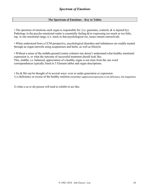### **The Spectrum of Emotions – Key to Tables**

• The spectrum of emotions each organ is responsible for: (i.e. generates, controls, & is injured by). Pathology in the psycho-emotional realm is essentially feeling  $\&$ /or expressing too much or too little, esp. in one emotional range, (i.e. stuck in that psychological rut, issues remain unresolved).

• When understood from a CCM perspective, psychological disorders and imbalances are readily treated through an organ network using acupuncture and herbs, as well as lifestyle.

• Without a sense of the middle-ground (center column) one doesn't understand what healthy emotional expression is, or what the outcome of successful treatment should look like. This, middle, i.e. balanced, appreciation of a healthy organ is not clear from the one word correspondences typically listed in 5 Element tables and organ descriptions.

• Xu & Shi can be thought of in several ways: over or under generation or expression 1) a deficiency or excess of the healthy emotion (remember suppression/repression is not deficiency, but stagnation)

2) what a xu or shi person will tend to exhibit or act like.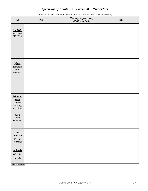# *Spectrum of Emotions – Liver/GB – Particulars*

| Lr                                                           | Xu | raoles lo oe anael sloou ooin nor lonaaly ee verneamy and animalely spirally<br>Healthy expression,<br>Ability to feel: | Shi |
|--------------------------------------------------------------|----|-------------------------------------------------------------------------------------------------------------------------|-----|
| <b>Wood</b><br>beginnings<br>sprouting                       |    |                                                                                                                         |     |
|                                                              |    |                                                                                                                         |     |
| $Run$<br>(ethereal<br>soul<br>personality)                   |    |                                                                                                                         |     |
|                                                              |    |                                                                                                                         |     |
| <b>Trigrams</b><br>Zhen<br>thunder<br>arousing<br>initiating |    |                                                                                                                         |     |
| Xun<br>wind<br>penetrates                                    |    |                                                                                                                         |     |
| Lunar<br>Hexagram<br>$19$ Lin<br>${\large \bf Approach}$     |    |                                                                                                                         |     |
| <b>Animals</b><br>$GB = Rat$<br>$Lr = Ox$                    |    |                                                                                                                         |     |

*Tables to be understood both horizontally & vertically and ultimately spirally*

**Symbol Referents**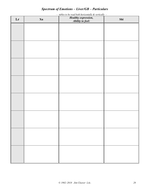# *Spectrum of Emotions – Liver/GB – Particulars*

**Lr Xu** *Healthy expression, Healthy expression, Healthy expression, Ability to feel:* **Shi**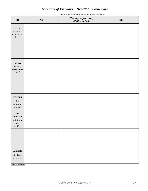# *Spectrum of Emotions – Heart/SI – Particulars*

 *– Tables to be read both horizontally & vertically –*

| <b>Ht</b>                                                         | Xu | Healthy expression,<br>Ability to feel: | Shi |
|-------------------------------------------------------------------|----|-----------------------------------------|-----|
| <b>Fire</b><br>$\frac{$ growth $\&$ developmt<br>light            |    |                                         |     |
|                                                                   |    |                                         |     |
| <b>Shen</b><br>$\overline{\text{(mind,)}}$<br>conscious-<br>ness) |    |                                         |     |
|                                                                   |    |                                         |     |
| Trigram<br>$\rm Li$<br>(mental<br>clarity)                        |    |                                         |     |
| Lunar<br>Hexagram<br>44 Gou<br>Inter-<br>course                   |    |                                         |     |
|                                                                   |    |                                         |     |
| <b>Animals</b><br>$Ht = Horse$<br>$SI = G$ oat                    |    |                                         |     |

**Symbol Referents**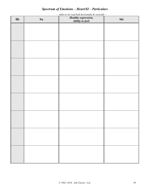# *Spectrum of Emotions – Heart/SI – Particulars*

**Ht Xu** *Healthy expression, Healthy expression, Healthy expression, Ability to feel:* **Shi**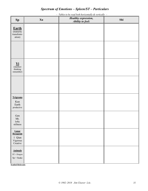## *Spectrum of Emotions – Spleen/ST – Particulars*

**Sp Xu** *Healthy expression, Healthy expression, Healthy expression, Ability to feel:* **Shi Earth** (maturity transformation) **Yi** (intellect thinking remember) **Trigrams** Kun Earth productive Gen Mt. lofty stillness **Lunar Hexagram** 1 Qian Vigorous Creative **Animals** ST = Dragon Sp = Snake

 *– Tables to be read both horizontally & vertically –*

**Symbol Referents**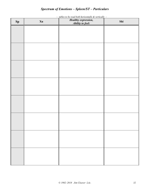# *Spectrum of Emotions – Spleen/ST – Particulars*

| $\mathbf{Sp}$ | Xu | Healthy expression,<br>Ability to feel: | Shi |
|---------------|----|-----------------------------------------|-----|
|               |    |                                         |     |
|               |    |                                         |     |
|               |    |                                         |     |
|               |    |                                         |     |
|               |    |                                         |     |
|               |    |                                         |     |
|               |    |                                         |     |
|               |    |                                         |     |
|               |    |                                         |     |
|               |    |                                         |     |
|               |    |                                         |     |
|               |    |                                         |     |
|               |    |                                         |     |
|               |    |                                         |     |
|               |    |                                         |     |
|               |    |                                         |     |
|               |    |                                         |     |
|               |    |                                         |     |
|               |    |                                         |     |
|               |    |                                         |     |

 *– tables to be read both horizontally & vertically –*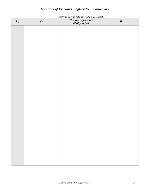# *Spectrum of Emotions – Spleen/ST – Particulars*

| $\mathbf{Sp}$ | Xu | Healthy expression,<br>Ability to feel: | Shi |
|---------------|----|-----------------------------------------|-----|
|               |    |                                         |     |
|               |    |                                         |     |
|               |    |                                         |     |
|               |    |                                         |     |
|               |    |                                         |     |
|               |    |                                         |     |
|               |    |                                         |     |
|               |    |                                         |     |
|               |    |                                         |     |
|               |    |                                         |     |
|               |    |                                         |     |
|               |    |                                         |     |
|               |    |                                         |     |
|               |    |                                         |     |
|               |    |                                         |     |
|               |    |                                         |     |
|               |    |                                         |     |
|               |    |                                         |     |
|               |    |                                         |     |

 *– tables to be read both horizontally & vertically –*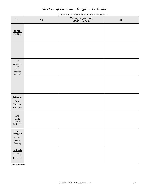# *Spectrum of Emotions – Lung/LI – Particulars*

 *– Tables to be read both horizontally & vertically –*

| Lu                                                                              | Xu | Healthy expression,<br>Ability to feel: | Shi |
|---------------------------------------------------------------------------------|----|-----------------------------------------|-----|
| $\underbrace{\textbf{Meta}}_{\textbf{decline}}$                                 |    |                                         |     |
|                                                                                 |    |                                         |     |
| $\underline{\mathbf{Po}}$<br>corporeal<br>soul<br>body,<br>instinct<br>survival |    |                                         |     |
|                                                                                 |    |                                         |     |
| <b>Trigrams</b><br>Qian<br>Heaven<br>creative                                   |    |                                         |     |
| Dui<br>${\rm Lake}$<br>Tranquil<br>Reflective                                   |    |                                         |     |
| Lunar<br>Hexagram<br>$11$ Tai<br>Peaceful<br>Flowing                            |    |                                         |     |
| <b>Animals</b><br>$Lu = Tiger$<br>$LI = Hare$                                   |    |                                         |     |

**Symbol Referents**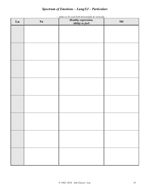# *Spectrum of Emotions – Lung/LI – Particulars*

| Lu | Xu | Healthy expression,<br>Ability to feel: | Shi |
|----|----|-----------------------------------------|-----|
|    |    |                                         |     |
|    |    |                                         |     |
|    |    |                                         |     |
|    |    |                                         |     |
|    |    |                                         |     |
|    |    |                                         |     |
|    |    |                                         |     |
|    |    |                                         |     |
|    |    |                                         |     |
|    |    |                                         |     |
|    |    |                                         |     |
|    |    |                                         |     |
|    |    |                                         |     |
|    |    |                                         |     |
|    |    |                                         |     |
|    |    |                                         |     |
|    |    |                                         |     |
|    |    |                                         |     |
|    |    |                                         |     |
|    |    |                                         |     |

 *– tables to be read both horizontally & vertically –*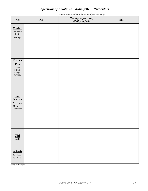# *Spectrum of Emotions – Kidney/BL – Particulars*

 *– Tables to be read both horizontally & vertically –*

| Kd                                                                                | Xu | Healthy expression,<br>Ability to feel: | Shi |
|-----------------------------------------------------------------------------------|----|-----------------------------------------|-----|
| <b>Water</b><br>dormancy<br>death<br>storage                                      |    |                                         |     |
|                                                                                   |    |                                         |     |
| Trigram<br>Kan<br>water<br>$\rm{pitfalls}$<br>danger<br>mystery                   |    |                                         |     |
|                                                                                   |    |                                         |     |
| Lunar<br>Hexagram<br>20 Guan<br>Observe<br>$\label{eq:cont} \text{Contemplative}$ |    |                                         |     |
|                                                                                   |    |                                         |     |
| $\frac{\mathbf{Zhi}}{\text{will}}$                                                |    |                                         |     |
| <b>Animals</b><br>$BL =$ Monkey<br>$Kd =$ Rooster                                 |    |                                         |     |

**Symbol Referents**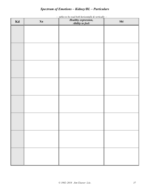# *Spectrum of Emotions – Kidney/BL – Particulars*

| Kd | Xu | ** **** **** * <b>**</b> *******<br>Healthy expression,<br>Ability to feel: | Shi |
|----|----|-----------------------------------------------------------------------------|-----|
|    |    |                                                                             |     |
|    |    |                                                                             |     |
|    |    |                                                                             |     |
|    |    |                                                                             |     |
|    |    |                                                                             |     |
|    |    |                                                                             |     |
|    |    |                                                                             |     |
|    |    |                                                                             |     |
|    |    |                                                                             |     |
|    |    |                                                                             |     |
|    |    |                                                                             |     |
|    |    |                                                                             |     |
|    |    |                                                                             |     |
|    |    |                                                                             |     |
|    |    |                                                                             |     |
|    |    |                                                                             |     |
|    |    |                                                                             |     |
|    |    |                                                                             |     |
|    |    |                                                                             |     |
|    |    |                                                                             |     |
|    |    |                                                                             |     |

 *– tables to be read both horizontally & vertically –*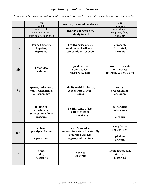# *Spectrum of Emotions – Synopsis*

*Synopsis of Spectrum: a healthy middle ground & too much or too little production or expression yields:*

|           | xu<br>(too little)                                              | neutral, balanced, moderate                                                                  | shi<br>(too much)                                          |
|-----------|-----------------------------------------------------------------|----------------------------------------------------------------------------------------------|------------------------------------------------------------|
|           | never feel,<br>never comes up,<br>outside of experience         | healthy expression of,<br>ability to feel                                                    | stuck, stuck in,<br>suppress, deny,<br>bottle up           |
| Lr        | low self esteem,<br>hopeless,<br>depressed                      | healthy sense of self,<br>solid sense of self worth<br>self confident, capable               | arrogant,<br>frustrated,<br>irritable                      |
| <b>Ht</b> | negativity,<br>sadness                                          | joi de vivre,<br>ability to feel,<br>pleasure $(\&$ pain)                                    | overexcitement,<br>restlessness<br>(mentally & physically) |
| Sp        | spacey, unfocused,<br>can't concentrate,<br>or remember         | ability to think clearly,<br>concentrate & focus,<br>cares                                   | worry,<br>preoccupation,<br>obsession                      |
| Lu        | holding on,<br>attachment,<br>anticipation of loss,<br>insecure | healthy sense of loss,<br>ability to let go,<br>grieve & cry                                 | despondent,<br>melancholic<br>anxious                      |
| Kd        | $\sin$ fear =<br>paralysis, frozen<br>superstitious             | awe & wonder,<br>respect for nature & naturally<br>occurring dangers,<br>appropriate caution | yang fear $=$<br>fight or flight<br>phobias<br>bravado     |
| Pc        | timid,<br>shy,<br>withdrawn                                     | open &<br>un-afraid                                                                          | easily frightened,<br>startled,<br>hysterical              |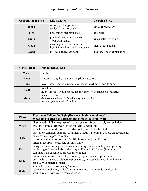# *Spectrum of Emotions – Synopsis*

| <b>Constitutional Type</b> | <b>Life Concern</b>                                                  | <b>Learning Style</b>       |
|----------------------------|----------------------------------------------------------------------|-----------------------------|
| Wood                       | action, get things done<br>achievement (of goal)                     | visual (need to see)        |
| <b>Fire</b>                | how things feel $\&$ /or look                                        | sensorial                   |
| Earth                      | practical (accomplishment)<br>but with values                        | kinesthetic (by doing)      |
| <b>Metal</b>               | meaning, what does it mean<br>big picture - how it all fits together | mental, idea, ideal         |
| Water                      | is it safe (need assurance)                                          | auditory (need explanation) |

| <b>Constitution</b>                                                              | <b>Fundamental Need</b>                                                                                       |
|----------------------------------------------------------------------------------|---------------------------------------------------------------------------------------------------------------|
| Water                                                                            | safety                                                                                                        |
| $freedom -$ dignity – autonomy (rights assured)<br>Wood                          |                                                                                                               |
| love – peace (to live in a time of peace is extreme good fortune)<br><b>Fire</b> |                                                                                                               |
| Earth                                                                            | to belong<br>nourishment – health (food, goods $\&$ services are ample $\&$ accessible)                       |
| <b>Metal</b>                                                                     | $respect - privacy$<br>(infrastructure intact $\&$ functional/systems work)<br>justice system works & is fair |

| <b>Phase</b> | <b>Treatment Philosophy/Style (How one obtains compliance)</b>                          |
|--------------|-----------------------------------------------------------------------------------------|
|              | What kind of client one attracts and is most successful with                            |
|              | directive, discipline, regimented – uses systems, force, control, manipulation          |
| Wood         | twist their arm, overpower - focus on their vulnerability                               |
|              | attracts those who like to be told what to do, need to be directed                      |
|              | very client centered, supportive, all heart, focus is pleasing you, big on advertising, |
| Fire         | fancy office $-$ appeal to vanity                                                       |
|              | focus on aesthetics (cosmetics facelift, liposuction) (Dr. Darm)                        |
|              | often target opposite gender, but smt. same                                             |
|              | being nice, comforting – very accommodating – understanding $\&$ approving              |
| Earth        | mothering – focus on kids (pediatrics) and/or end of life care (hospice)                |
|              | convince with education, provide information                                            |
|              | impress and mystify, talk into, convince, cajole, power of persuasion                   |
| <b>Metal</b> | prove with data, use of elaborate procedures, impress with your intelligence            |
|              | sagely, wise, paternal, strict                                                          |
|              | strict adherence to proper way/protocol                                                 |
| Water        | scare into compliance, strike fear into them to get them to do the right thing          |
|              | warn, threaten with worse case scenarios                                                |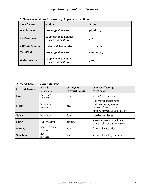| <b>Phase/Season</b> | Action                                         | Aspect      |
|---------------------|------------------------------------------------|-------------|
| <b>Wood/Spring</b>  | discharge & release                            | physically  |
| <b>Fire/Summer</b>  | supplement $\&$ nourish<br>conserve & protect: | yin         |
| soil/Late Summer    | balance & harmonize                            | all aspects |
| <b>Metal/Fall</b>   | discharge & release                            | emotionally |
| <b>Water/Winter</b> | supplement $\&$ nourish<br>conserve & protect: | yang        |

 **• 5 Phase Correlations & Seasonally Appropriate Actions**

## **• Organ/Channel Clearing Qi Gong**

| Organ/Channel | Sound<br>on exhale                       | pathogens<br>to dispel / clear | emotions/feelings<br>to let go of                                                                                 |
|---------------|------------------------------------------|--------------------------------|-------------------------------------------------------------------------------------------------------------------|
| Liver         | $y\ddot{u} = yew$<br>$x\ddot{u} = h$ suu | wind                           | anger $&$ frustration                                                                                             |
| <b>Heart</b>  | $ho = hoe$<br>$he = huh$                 | heat                           | $(ioy) = over-excitement$<br>restlessness, agitation<br>sadness $\&$ negativity<br>disappointment $&$ disillusion |
| <b>Spleen</b> | $hu = hoo$                               | damp                           | worries, anxieties                                                                                                |
| Lung          | $si/zi = ssszzzz$                        | dryness                        | sorrows, losses, attachments<br>being right, or our mistakes                                                      |
| Kidney        | $chui = chway$<br>$chi = chr$            | cold                           | fears & insecurities                                                                                              |
| San Jiao      | hee<br>$xi = h$ see                      | heat                           | stress; obstacles, limitations                                                                                    |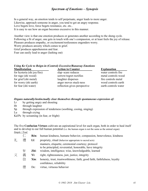## *Spectrum of Emotions – Synopsis*

In a general way, an emotion tends to self perpetuate, anger leads to more anger. Likewise, approach someone in anger, you tend to get an angry response. Love begets love, force begets resistance, etc. etc... It is easy to see how an organ becomes excessive in this manner.

Another view is that one emotion produces or generates another according to the sheng cycle. Following a fit of anger, one gets in touch with one's compassion, or at least feels the joy of release. Pleasure produces empathy, or excitement/restlessness engenders worry.

Worry produces anxiety which comes to grief.

Grief produces apprehension and fear.

Fear can easily lead to anger (lashing out)

### *Using Ke Cycle to Reign-in (Control) Excessive/Runaway Emotions*

| <b>Action to Counter</b>     | <b>Explanation</b>   |
|------------------------------|----------------------|
| slap-scare reduces           | water controls fire  |
| sorrow/regret rectifies      | metal controls wood  |
| laughter disperses           | fire controls metal  |
| anger moves stuck-ness       | wood controls earth  |
| reflection gives perspective | earth controls water |
|                              |                      |

*Organs naturally/instinctually clear themselves through spontaneous expression of:*

- Lr by getting angry and shouting
- Ht through laughter
- Sp through expression of tenderness (soothing, cooing, singing)

Lu through crying

Kd/Pc by screaming (in fear, or fright)

The five **Confucian Virtues** cultivate an aspirational level for each organ, both in order to heal itself and to develop to our full human potential (i.e. the human organ is not the same as the animal organ) *Simple / Trad.*

|   |   |                  | Rén: human kindness, humane behavior, compassion, benevolence, kindness   |  |
|---|---|------------------|---------------------------------------------------------------------------|--|
| 礻 | 禮 | Lĭ:              | propriety, ritual (behavior appropriate to sacred acts)                   |  |
|   |   |                  | manners, etiquette, ceremonial courtesy; protocol                         |  |
|   |   |                  | to be principled, reverential, honorable, have integrity                  |  |
|   | 智 | $\mathbf{Z}$ hì: | wisdom, intelligence; wise, knowledgeable, learned                        |  |
|   | 義 | Yì:              | right, righteousness, just, justice, integrity                            |  |
|   | 信 | $X$ ìn:          | honesty, trust, trustworthiness; faith, good faith, faithfulness, loyalty |  |
|   |   |                  | confidence, reliability                                                   |  |
|   | 德 | De:              | virtue, virtuous behavior                                                 |  |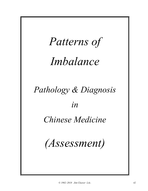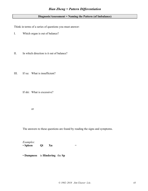## **Diagnosis/Assessment = Naming the Pattern (of Imbalance)**

Think in terms of a series of questions you must answer:

- I. Which organ is out of balance?
- II. In which direction is it out of balance?

III. If xu: What is insufficient?

If shi: What is excessive?

or

The answers to these questions are found by reading the signs and symptoms.

*Examples:* • **Spleen Qi Xu** =

• **Dampness** is **Hindering** the **Sp**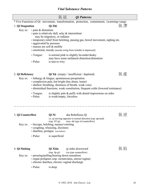## *Vital Substance Patterns*

|                                                                                                                                                                             |                             | 氣証                                                                                                                                   | <i><b>Qi</b></i> Patterns                                                                                                                                                                                                                                                                            |     |
|-----------------------------------------------------------------------------------------------------------------------------------------------------------------------------|-----------------------------|--------------------------------------------------------------------------------------------------------------------------------------|------------------------------------------------------------------------------------------------------------------------------------------------------------------------------------------------------------------------------------------------------------------------------------------------------|-----|
|                                                                                                                                                                             |                             |                                                                                                                                      | * Five Functions of Qi: movement, transformation, protection, containment, (warming=yang)                                                                                                                                                                                                            |     |
| 1. Qi Stagnation                                                                                                                                                            |                             | Qì Zhì                                                                                                                               |                                                                                                                                                                                                                                                                                                      | 氣滯  |
| · pain & distention<br>Key sx:<br>· pain is relatively dull, achy & intermittent<br>may be migratory, or radiates<br>• aggravated by pressure<br>· masses are soft & mobile |                             |                                                                                                                                      | • temporary relief from belching, passing gas, bowel movement, sighing etc.<br>• emotional, moody (moods swing from irritable to depressed)                                                                                                                                                          |     |
|                                                                                                                                                                             | $\cdot$ Tongue:<br>· Pulse: | is taut to wiry                                                                                                                      | is normal pink to slightly lavender/dusky<br>may have some unilateral distortion/distention                                                                                                                                                                                                          |     |
| 2. Qi Deficiency<br>Key sx:                                                                                                                                                 |                             |                                                                                                                                      | $Q$ ì Xū (empty / insufficient / depleted)<br>$\cdot$ lethargy $\&$ fatigue, spontaneous perspiration<br>• complexion pale, but bright (has sheen, luster)<br>· shallow breathing, shortness of breath, weak voice<br>· diminished functions, weak constitution, frequent colds (lowered resistance) | 氣虛  |
|                                                                                                                                                                             | $\cdot$ Tongue:<br>· Pulse: | is weak/empty, forceless                                                                                                             | is slightly pale $\&$ puffy with dental impressions on sides                                                                                                                                                                                                                                         |     |
| 3. Qi Counterflow                                                                                                                                                           |                             | Qì Nì                                                                                                                                | aka Rebellious Qi                                                                                                                                                                                                                                                                                    |     |
| Key sx:                                                                                                                                                                     |                             | $(\text{esp. ST qi})$<br>· hiccups, belching, nausea/vomiting<br>• coughing, wheezing, dizziness<br>· diarrhea, prolapse (see below) | i.e. qi moving opposite to normal direction (esp. upward)<br>(usu. shi type of counterflow)                                                                                                                                                                                                          |     |
|                                                                                                                                                                             | • Pulse:                    | is superficial                                                                                                                       |                                                                                                                                                                                                                                                                                                      |     |
| 4. Qi Sinking<br>Key sx:                                                                                                                                                    |                             | Qì Xiàn<br>$(\text{esp. Sp qi})$<br>• pressing/pulling/bearing down sensations                                                       | qi sinks downward<br>(xu type counterflow)<br>· organ prolapses (esp. rectum/anus, uterus/vagina)<br>· chronic diarrhea, chronic vaginal discharge                                                                                                                                                   | 氣 陷 |
|                                                                                                                                                                             | • Pulse:                    | is deep                                                                                                                              |                                                                                                                                                                                                                                                                                                      |     |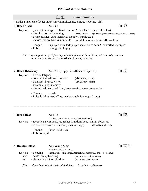|                          |                                                                                                 | 血証                                                                                                       | <b>Blood Patterns</b>                                                                                                                                                                                                                      |     |  |
|--------------------------|-------------------------------------------------------------------------------------------------|----------------------------------------------------------------------------------------------------------|--------------------------------------------------------------------------------------------------------------------------------------------------------------------------------------------------------------------------------------------|-----|--|
|                          | * Major Functions of Xue: nourishment, moistening, storage (cooling=yin)                        |                                                                                                          |                                                                                                                                                                                                                                            |     |  |
| 1. Blood Stasis          |                                                                                                 | Xuè Yū                                                                                                   |                                                                                                                                                                                                                                            | 血 瘀 |  |
| Key sx:                  | · discoloration or darkening                                                                    | · dysmenorrhea, dark menstrual blood w/ purple clots                                                     | $\cdot$ pain that is sharp w/ a fixed location & constant (usu. swollen too)<br>(locally: bruises<br>systemically: complexion, tongue, lips, nailbeds)<br>• masses that are hard & immobile (usu. abdominal or pelvic i.e. MJiao or LJiao) |     |  |
|                          | $\cdot$ Tongue:<br>• Pulse:                                                                     | is rough $&$ choppy                                                                                      | is purple with dark/purple spots; veins dark $&$ contorted/engorged                                                                                                                                                                        |     |  |
|                          |                                                                                                 | trauma / extravasated: hemorrhage, bruises, petechia                                                     | Etiol: qi stagnation, qi deficiency, blood deficiency, blood heat, interior cold, trauma                                                                                                                                                   |     |  |
| 2. Blood Deficiency      |                                                                                                 | <b>Xuè Xū</b> (empty / insufficient / depleted)                                                          |                                                                                                                                                                                                                                            | 血虛  |  |
| Key sx:                  | • tired & fatigued<br>· dizziness, blurred vision<br>· insomnia, poor memory<br>$\cdot$ Tongue: | • complexion pale and lusterless<br>is pale                                                              | (also eyes, nails)<br>(LBP, hypovolemia)<br>· diminished menstrual flow, irreg/erratic menses, amenorrhea<br>• Pulse: is thin/thready/fine, maybe rough & choppy (irreg.)                                                                  |     |  |
| 3. Blood Heat<br>Key sx: |                                                                                                 | Xuè Rè<br>(i.e. heat in the blood, or at the blood level)<br>• excessive menstrual bleeding (hemorrhage) | · fever/heat sensations, red rashes/eruptions/pox, itching, abscesses<br>(blood is bright red)                                                                                                                                             | 血 熱 |  |
|                          | $\cdot$ Tongue:<br>· Pulse: is rapid                                                            | is red (bright red)                                                                                      |                                                                                                                                                                                                                                            |     |  |
| 4. Reckless Blood        |                                                                                                 | <b>Xuè Wàng Xíng</b><br><b>Blood Recklessly Moves</b>                                                    |                                                                                                                                                                                                                                            | 血妄行 |  |
| Key sx:<br>shi:<br>XU:   | • bleeding<br>• acute, heavy bleeding<br>• chronic but minor bleeding                           |                                                                                                          | (nose, gums, skin, lungs, stomach/GI, menstrual, urine, stool, anus)<br>(usu. due to heat, or stasis)<br>(usu. due to deficiency)                                                                                                          |     |  |

*Etiol: blood heat, blood stasis, qi deficiency, yin deficiency/dryness*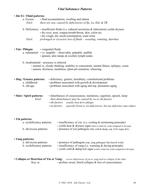## *Vital Substance Patterns*

### • **Jīn-Yè / Fluid patterns:**

| a. Excess: | • fluid accumulations, swelling and edema                        |
|------------|------------------------------------------------------------------|
| Etiol:     | these are usu. caused by deficiencies of $Sp$ , Lu, Kid, $\&$ TB |

- b. Deficiency: insufficient fluids (i.e. reduced secretions & lubrication) yields dryness
	- dry eyes, nose, tongue/mouth/throat, skin, colon etc.
	- dry cough, dry stools/constipation, scant urine
	- *Etiol: prolonged or excessive loss of fluids – sweating, vomiting, diarrhea*
- **Tán / Phlegm:** congealed fluids

a. substantial: • i.e. tangible – observable, palpable, audible

- sputum, skin lumps & swollen lymph nodes
- b. insubstantial: presence is inferred
	- mental sx, cloudy thinking, inability to concentrate, mental illness, epilepsy, coma
	- nausea, dizziness, numbness, plum-pit sensation, wheezing

| • Jīng / Essence patterns: | • deficiency: genetic, hereditary, constitutional problems |
|----------------------------|------------------------------------------------------------|
| a. childhood:              | $\cdot$ problems associated with growth $\&$ development   |
| b. old age:                | • problems associated with aging and esp. premature aging  |

| • Shén / Spirit patterns: | • disturbances of consciousness, mentation, cognition, speech, sleep |
|---------------------------|----------------------------------------------------------------------|
| Etiol:                    | shen disturbances may be caused by xu or shi factors                 |
|                           | • shi factors: usually heat $\&$ /or phlegm                          |

*• xu factors: typically blood or yin deficiencies, but any deficiency may induce*

### • **Yīn patterns:**

- a. xu/deficiency patterns:  $\cdot$  insufficiency of yin (i.e. cooling & moistening principle) • yields heat & dryness signs (heat is relatively weak compared to shi type) b. shi/excess patterns: • presence of yin pathogens (like cold  $\&$  damp, esp. if  $d/t$  organ def.) • **Yáng patterns:**
	- a. shi/excess patterns: presence of pathogens (esp. yang pathogens like heat & wind) b. xu/deficiency patterns: • insufficiency of yang (i.e. warming & drying principle) • *yields* cold & damp/wet signs (cold is relatively weak compared to shi type)
- **Collapse or Desertion of Yin or Yang:** *severe deficiencies of yin or yang lead to collapse of the other* Key sx: • profuse sweat, literal collapse & loss of consciousness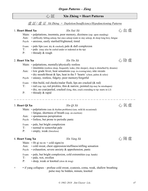## 心 証 **Xīn Zhèng = Heart Patterns**

## 虛 証 */* 虛 证 *Xū Zhèng = Depletion/Insufficiency/Hypofunctioning Patterns*

## 1. **Heart Blood Xu**  $X\overline{\iota}$  *Xīn Xuè X* $\overline{\iota}$   $\iota$   $\iota$   $\iota$   $\iota$   $\iota$   $\iota$   $\iota$   $\iota$   $\iota$   $\iota$   $\iota$   $\iota$   $\iota$   $\iota$   $\iota$   $\iota$   $\iota$   $\iota$   $\iota$   $\iota$   $\iota$   $\iota$   $\iota$   $\iota$   $\iota$   $\iota$   $\iota$   $\iota$

- Main: palpitations, insomnia, poor memory, dizziness (esp. upon standing)
- Aux:  $\cdot$  (difficulty falling asleep, but once asleep tends to stay asleep, & sleep long hrs), fatigue
- Psych: anxious, easily startled/frightened, timid
- Exam: pale lips (smt. dry & cracked), pale & dull complexion
- T: pale (may also be curled under or indented at the tip)
- P: thready & rough

## 2. **Heart Yin Xu**  $\qquad \qquad \text{X}$ *īn Yīn Xū* () () 哈 虛

Main: • palpitations, mentally/physically restless

- insomnia (restless sleep, frequently wake, (lite sleeper), sleep is disturbed by dreams)
- Aux: low grade fever, heat sensations (esp. in evening/nite), nite sweats
	- dry mouth/throat  $&$  lips, heat in the 5 'hearts' (chest, palms  $&$  soles)
- Psych: uneasy, restless, fidgety; poor memory/forgetful
- Exam:  $\cdot$  thin build, red cheeks/malar flush, lips are cracked ( $\&$  red)
- T:  $\cdot$  red (esp. tip), red prickles, thin & narrow, pointed (tip may be misshapen)
	- dry, no coat/peeled, cracked (long, thin, crack extending to tip–starts in LJ)
- P: thready & rapid

## 3. **Heart Qi Xu**  $\qquad \qquad \text{X\bar{u}}$  Qì Xu  $\qquad \qquad \text{X\bar{u}}$  Qì Xu  $\qquad \qquad \text{X\bar{u}}$   $\qquad \qquad \text{X\bar{u}}$

- Main:  $\cdot$  palpitations (rate & rhythm problems) (usu. mild & occasional)
	- fatigue, shortness of breath (esp. on exertion)
- Aux: spontaneous perspiration
- Psych: listless, but prone to periodic panic
- Exam: pale, but bright complexion
- T: normal to somewhat pale
- P: empty, weak (forceless)

## 4. **Heart Yang Xu** *Xīn Yáng Xū* 心 陽 虛

- Main:  $\cdot$  Ht qi xu sx + cold signs/sx
- Aux: cold sweat, chest oppression/stuffiness/stifling sensation
- Psych: exhaustion, severe anxiety & apprehension, panic
- Exam: pale, but bright complexion, cold extremities (esp. hands)
- T: pale, wet, swollen
- P: deep, weak or knotted (slow & irreg)
- + if yang collapses profuse cold sweat, cyanosis, coma, weak, shallow breathing pulse may be hidden, minute, knotted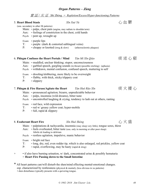## *Organ Patterns – Zàng*

### 實 証 */* 实 证 *Shí Zhèng = Repletion/Excess/Hyper-functioning Patterns*

| 5. Heart Blood Stasis<br>Aux: | (usu. secondary to other Ht patterns)<br>Psych: • pent up, wrought up | Xīn Xuè Yù<br>Main: • palps, chest pain (angina, may radiate to shoulder/arm)<br>• feelings of constriction in the chest, cold hands                                                                                 |                                                                                                                                                                     |      |
|-------------------------------|-----------------------------------------------------------------------|----------------------------------------------------------------------------------------------------------------------------------------------------------------------------------------------------------------------|---------------------------------------------------------------------------------------------------------------------------------------------------------------------|------|
| $T$ :<br>P:                   | Exam: • purple lips                                                   | · purple (dark & contorted sublingual veins)                                                                                                                                                                         | • choppy or knotted (irreg & slow) (atherosclerotic plaques)                                                                                                        |      |
| Aux:<br>Psych:<br>$T$ :<br>P: | · slippery                                                            | 6. Phlegm Confuses the Heart Portals / Mind<br>Main: • muddled, unclear thinking; stupor, unconsciousness<br>Exam: • drooling/slobbering, more likely to be overweight<br>· flabby, with thick, sticky/slippery coat | Tán Mí Xīn Qiào<br>· garbled speech, gurgling sounds (in throat) (possible retching) (aphasia)<br>• withdrawn, mental confusion, confused speech, muttering to self | 痰迷心竅 |
| Aux:<br>T:<br>P:              | Exam: • red face, wild expression<br>• full, rapid & slippery         | 7. Phlegm & Fire Harass/Agitate the Heart<br>Main: • pronounced agitation; bizarre, unpredictable behavior<br>· palps, insomnia (wild dreams), bitter taste<br>· red w/ greasy yellow coat; hyper-mobile             | Tán Huŏ Răo Xīn<br>Psych: $\cdot$ uncontrolled laughing & crying, tendency to lash out at others, ranting                                                           | 痰火擾心 |
|                               | 8. Exuberant Heart Fire                                               |                                                                                                                                                                                                                      | Xīn Huǒ Shèng                                                                                                                                                       | 心火盛  |

- Main: palpitations & tachycardia, insomnia (may sleep very little), tongue sores, thirst
- Aux: feels overheated, bitter taste (usu. only in morning or after poor sleep) febrile dz leading to delirium
- Psych: restless agitation, impulsive, manic behavior
- Exam: bright red face
- T: long, dry, red, even redder tip, which is also enlarged, red prickles, yellow coat
- P: rapid, overflowing, may be hasty (rapid & irreg)
- + if also have burning urination, w/ dark, concentrated urine & possibly hematuria = **Heart Fire Passing down to the Small Intestine**
- \* All heart patterns can/will disturb the shen/mind effecting mental-emotional changes. esp. characterized by restlessness (physical  $\&$  mental), (less obvious in xu patterns)
	- shen disturbance typically presents with a quivering tongue.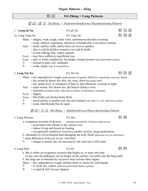# 肺 証 **Fèi Zhèng = Lung Patterns**

## 虛 証 */* 虛 证 *Xū Zhèng = Depletion/Insufficiency/Hypofunctioning Patterns*

# 1a. Lung Yang Xu *Fèi Yáng Xū* 肺 陽 虛

1. **Lung Qi Xu** *Fèi Qì Xū* **<b>heach heach f** *Fèi Qì Xū* **heach heach heach heach heach heach heach heach** 

- Main: fatigue, weak cough, weak voice, spontaneous/daytime sweating • weak, shallow respiration, shortness of breath after even minor exertion
- Aux: easily catches colds, and/or does not recover quickly
	- skin is cold & dislikes (sensitive to) cold & drafts
	- avoids talking; thin, watery sputum
- Psych: may have suffered a significant loss
- Exam: pale or white complexion, but bright, stooped posture (less than robust constit.)
- T: normal or pale, smt. scalloped
- P: weak, empty (esp. R cun position)

Main: • dry unproductive cough (small amounts of sputum, difficult to expectorate, may have blood)

2. Lung Yin Xu  $F$ èi Yīn Xū  $F \cong \mathbb{R}$ 

- dry mouth & throat, dry skin, dry nose, thirst (but drinks little)
- low grade fever or sensations of heat in late afternoon, evening or night
- Aux: night sweats, five hearts hot, dry/hoarse (husky) voice
	- insomnia (awakens easily, often due to dreams, overheating or sweating)
- Psych: fidgety
- Exam: thin build, red cheeks/malar flush
- T: red & patchy or peeled coat, dry and cracked (esp. front 1/3, usu. transverse cracks)
- P: weak, thin/thready/fine & rapid

## 實 証 */* 实 证 *Shí Zhèng = Repletion/Excess/Hyper-functioning Patterns*

3. Lung Dryness *Fèi Zào* 肺 燥

- a. exogenous invasion of dryness (stronger presentation of dryness than yin xu)
	- associated with climate or dry season (Fall)
	- indoor living and forced air heating
	- occupational conditions, excessive aerobic activity, drugs/medications

b. aftermath of a fever/internal heat damaging the body fluids (precursor to a yin deficiency)

- \* main differences from yin xu are: real thirst
- T: tongue is mainly dry, not necessarily red, and coat is still intact
- 4. Lung Heat *Fèi Rè* 肺 熱
	- a. this is either an exogenous invasion that begins as, or turns into heat
	- in any case the pathogens are no longer on the surface, but really into the lung itself b. the lungs are overheated by excessive heat in/from other organs
	- Main:  $\cdot$  dry, unproductive cough, definite thirst w/desire for cold liquids
	- T:  $\cdot$  is red & dry, yellow coat (not particularly thick or greasy)
	- P: is rapid & full, but not slippery

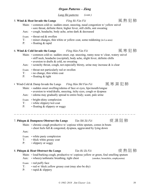### *© 1982–2018 Jim Cleaver LAc. 50*

### *Organ Patterns – Zàng*

*Lung Shi patterns (cont.)*

## 5. **Wind & Heat Invade the Lungs** *Fēng Rè Fàn Fèi* 風 熱 犯 肺

- Main: common cold sx: sudden onset, sneezing, nasal congestion w/ yellow snivel
	- sore throat, definite thirst, higher fever, still chills, smt sweating
- Aux: cough, headache, body ache, urine dark & decreased
- Exam: throat red & swollen
- T: minor changes, thin white or yellow coat, some reddening (in Lu area)
- P: floating & rapid

## 6. **Wind & Cold Invade the Lungs** *Fēng Hán Fàn Fèi* 風 寒 犯 肺

- Main: common cold sx: sudden onset, esp. sneezing, runny nose w/ clear, watery snivel • stiff neck, headache (occipital), body ache, slight fever, definite chills
	- aversion to drafts & cold, no sweating
- Aux: scratchy throat, cough, not especially thirsty, urine may increase  $\&$  is clear
- Exam: throat not particularly red or swollen
- T: no change, thin white coat
- P: floating & tight
- Wind-Cold & Damp Invade the Lungs *Fēng Hán Shī Fàn Fèi* 風 寒 濕 犯 肺
	- Main: sudden onset swelling/edema of face or eyes, lips/mouth/tongue
		- aversion to wind/drafts, sneezing, itchy eyes, cough or dyspnea
	- Aux: edema may gradually spread to entire body; scant, pale urine
	- Exam: bright-shiny complexion
	- T: white slippery/wet coat
	- P: floating & slippery or soggy

7. **Phlegm & Dampness Obstruct the Lungs** *Tán Shī Zǔ Fèi* 痰 濕 阻 肺

Main: • chronic cough productive w/ copious white sputum, comes in bouts • chest feels full & congested, dyspnea, aggravated by lying down

Aux:

- Exam: white pasty complexion
- T: thick white greasy coat
- P: slippery or soggy

### 8. **Phlegm & Heat Obstruct the Lungs** *Tán Rè Zǔ Fèi* 痰 熱 阻 肺

Main: • loud/barking cough, productive w/ copious yellow or green, foul smelling sputum Aux: • wheezy/asthmatic breathing, tight chest (smoker, bronchitis, emphysema)

- - - - - - - -

- Exam: red puffy face
- $T:$  red w/ thick yellow greasy coat (may also be dry)
- P: rapid & slippery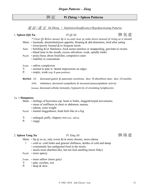## 脾 証 **Pí Zhèng = Spleen Patterns**

虛 証 */* 虛 证 *Xū Zhèng = Depletion/Insufficiency/Hypofunctioning Patterns*

### 1. **Spleen (Qi) Xu** *Pí Qì Xū* 脾 氣 虛

- *\* Clear Qi Below means Sp is xu and clear qi sinks down instead of rising as it should.* Main: • lassitude, diminished/poor appetite, bloating & abd distention, tired after eating
	- loose/poorly formed &/or frequent stools
- Aux:  $\cdot$  belching  $\&$ /or flatulence, food seems tasteless or unappealing, gravitate to sweets • bland taste in the mouth, excess salivation; weak, spindly limbs
- Psych: picky/fussy about food/diet, compulsive eater
	- inability to concentrate
- Exam: sallow complexion
- T: normal to pale w/ dental impressions on edges
- P: empty, weak (esp. R guan position)

**BioMed**: GI: decreased gastric & pancreatic secretions; decr. SI absorbtion rates; decr. GI motility

ANS: imbalance, decreased sympathetic & increased parasympathetic activity

Immune: decreased cellular immunity, hypoactivity of circulating lymphocytes

### 1a. **+ Dampness**:

Main: • feelings of heaviness esp. head or limbs, sluggish/torpid movements;

- sense of stuffiness in chest or abdomen; nausea,
- edema, extra weight
- Psych: mental sluggishness, head feels like in a fog
- T: enlarged, puffy, slippery-wet (exc. saliva)
- P: soggy

### 2. Spleen Yang Xu  $P$ *i Yáng Xū*  $\qquad \qquad$  |軍陽 虛

Main:  $\cdot$  Sp qi xu sx, only worse  $\&$ /or more chronic, more edema

- + cold sx: cold limbs and general chilliness, dislike of cold and damp
	- consistently has undigested food in the stools,
	- stools more diarrhea-like, but not foul smelling (more fishy)
- Psych: more spacey
- Exam: more sallow (more gray)
- T: pale, swollen, wet
- P: deep & slow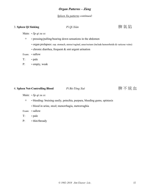## *Organ Patterns – Zàng*

*Spleen Xu patterns continued:*

## 3. **Spleen Qi Sinking** *Pí Qì Xiàn* 脾 氣 陷

Main: • *Sp qi xu sx*

- + pressing/pulling/bearing down sensations in the abdomen
	- organ prolapses: esp. stomach, uterus/vaginal, anus/rectum (include hemorrhoids & varicose veins)
	- chronic diarrhea, frequent & smt urgent urination

Exam: • sallow

- T: pale
- P: empty, weak

# 4. **Spleen Not-Controlling Blood** *Pí Bù-Tǒng Xuè* 脾 不 統 血

Main: • *Sp qi xu sx*

- + bleeding: bruising easily, petechia, purpura, bleeding gums, epistaxis
	- blood in urine, stool; menorrhagia, metrorraghia

Exam: • sallow

T: • pale

P: • thin/thready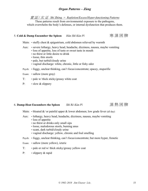## *Organ Patterns – Zàng*

實 証 */* 实 证 *Shí Zhèng = Repletion/Excess/Hyper-functioning Patterns*

These patterns result from environmental exposure to the pathogens, which overwhelm the body's defenses, or internal dysfunction that produces them.

## 5. **Cold & Damp Encumber the Spleen** *Hán Shī Kùn Pí* 寒 濕 困 脾

Main:  $\cdot$  stuffy chest  $\&$  epigastrium, cold abdomen relieved by warmth

- Aux: severe lethargy, heavy head, headache, dizziness, nausea, maybe vomiting
	- loss of appetite, loss of taste or sweet taste in mouth
		- no thirst or little desire to drink
		- loose, thin stools
		- pale, but turbid/cloudy urine
		- vaginal discharge: white, chronic, little or fishy odor
- Psych: foggy, unclear thinking, can't focus/concentrate; spacey, stuporific
- Exam: sallow (more gray)
- T: pale w/ thick sticky/greasy white coat
- P: slow & slippery

### 6. **Damp-Heat Encumbers the Spleen** *Shī Rè Kùn Pí* 濕 熱 困 脾

- Main: bloated  $\&/$  or painful upper  $&$  lower abdomen; low grade fever (all day)
- Aux: lethargy, heavy head, headache, dizziness, nausea, maybe vomiting
	- loss of appetite
	- no thirst or drinks only small sips
	- loose, malodorous stools, burning anus
	- scant, dark turbid/cloudy urine
	- vaginal discharge: yellow, chronic and foul smelling
- Psych: foggy, unclear thinking, can't focus/concentrate; but more hyper, frenetic
- Exam: sallow (more yellow), icteric
- T: pale or red w/ thick sticky/greasy yellow coat
- P: slippery & rapid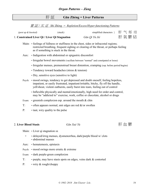# 肝 証 **Gān Zhèng = Liver Patterns**

### 實 証 */* 实 证 *Shí Zhèng = Repletion/Excess/Hyper-functioning Patterns*

| (pent up $\&$ knotted)                                        | (stuck)                                                                                                                                                                                                                   | simplified characters } | 肝气郁结 |
|---------------------------------------------------------------|---------------------------------------------------------------------------------------------------------------------------------------------------------------------------------------------------------------------------|-------------------------|------|
|                                                               | 1. Constrained Liver Qi / Liver Qi Stagnation                                                                                                                                                                             | Gān Qì Yù Jié           | 肝氣鬱結 |
|                                                               | Main: • feelings of fullness or stuffiness in the chest, sides or infracostal regions;<br>restricted breathing, frequent sighing or clearing of the throat, or perhaps feeling<br>as if something is stuck in the throat. |                         |      |
| • Indigestion with abdominal or epigastric discomfort<br>Aux: |                                                                                                                                                                                                                           |                         |      |
|                                                               | • Irregular bowel movements (vacillate between "normal" and constipated or loose)                                                                                                                                         |                         |      |
|                                                               | • Irregular menses, premenstrual breast distention, cramping (esp. before period begins)                                                                                                                                  |                         |      |
|                                                               | • Tendency toward headaches (stress $&$ tension)                                                                                                                                                                          |                         |      |
|                                                               | • Dry, sensitive eyes (sensitive to light)                                                                                                                                                                                |                         |      |

- Psych: mood swings, tendency to get depressed and doubt oneself, feeling hopeless, impatient, or easily frustrated, impatient/irritable, bitchy, fly off the handle, yell/shout, violent outbursts, easily burst into tears, feeling out of control
	- Inflexible physically and mental/emotionally, high need for order and control, may be "addicted to" exercise, work, coffee or chocolate, alcohol or drugs
- Exam: greenish complexion esp. around the mouth  $&$  chin
- T:  $\cdot$  often appears normal, smt edges are red  $\&$ /or swollen
- P: taut, wiry quality to the pulse

## 2. Liver Blood Stasis *Gān Xuè Yù* Thing The Theory of The Theory of The Theory of The Theory of The Theory of The Theory of The Theory of The Theory of The Theory of The Theory of The Theory of The Theory of The Theory o

Main: • Liver qi stagnation sx

- + delayed/irreg menses, dysmenorrhea, dark/purple blood w/ clots • abdominal masses
- Aux: hematemesis, epistaxis
- Psych: mood swings more erratic & extreme
- Exam: dark purple-green complexion
- T: purple, may have stasis spots on edges, veins dark & contorted
- P: wiry & rough/choppy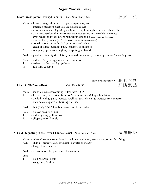## 3. **Liver Fire** (Upward Blazing/Flaming) *Gān Huǒ Shàng Yán* 肝 火 上 炎

### Main:  $\cdot$  Liver qi stagnation sx (mostly upper body sx)

- + intense headaches (throbbing, usu temporal or eye)
	- insomnia (can't rest, light sleep, easily awakened, dreaming is vivid, hun is disturbed))
	- dizziness/vertigo, tinnitus (sudden onset, loud & constant), or sudden deafness
	- eyes red (bloodshot), dry  $\&$  painful; photophobic (eyes more red than dry)
	- usu. feel hot, thirsty (prefers ice cold), bitter taste (constant)
	- constipation/dry stools, dark, concentrated urine
	- chest or flank (burning) pain, tendency to baldness
- Aux: side pain, epistaxis, coughing or spitting up blood
- Psych: greater irritability  $\&$  volatility, marked impatience, fits of anger (more  $\&$  more frequent)
- Exam: red face & eyes, hypochondrial discomfort
- T:  $\cdot$  red (esp. sides), w/ dry, yellow coat
- P: full-wiry & rapid

### *simplified characters }* 肝 胆 湿 热

## 4. **Liver & GB Damp-Heat** *Gān Dǎn Shī Rè* 肝 膽 濕 熱

Main: • jaundice, nausea/vomiting, bitter taste, LOA

- Aux: fever, scant, dark urine, fullness & pain in chest & hypochondrium
	- genital itching, pain, redness, swelling,  $\&$ /or discharge (herpes, STD's, shingles)
		- may be constipated or burning diarrhea
- Psych: easily angered, (often there is excessive alcohol intake)
- Exam: yellow eyes &/or skin
- T: red w/ greasy yellow coat
- P: slippery-wiry & rapid

## 5. **Cold Stagnating in the Liver Channel/Vessel** *Hán Zhì Gān Mài* 寒 滯 肝 脈

Main:  $\cdot$  aches & strange sensations in the lower abdomen, genitals and/or inside of thigh

- Aux:  $\cdot$  shan qi (hernia = painful swellings), (alleviated by warmth)
	- long, clear urination
- Psych: aversion to cold, preference for warmth

Exam:

- T: pale, wet/white coat
- P: wiry, deep & slow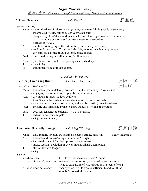虛 証 */* 虛 证 *Xū Zhèng = Depletion/Insufficiency/Hypofunctioning Patterns*

|                          | 6. Liver Blood Xu                                               | Gān Xuè Xū                                                                                                                                                                                                                                                                                                                                                                                                                                                                                                                                                                                                      | 肝 血 虛                   |
|--------------------------|-----------------------------------------------------------------|-----------------------------------------------------------------------------------------------------------------------------------------------------------------------------------------------------------------------------------------------------------------------------------------------------------------------------------------------------------------------------------------------------------------------------------------------------------------------------------------------------------------------------------------------------------------------------------------------------------------|-------------------------|
| (Ren & Chong Xu)<br>Aux: | • headaches (vertex),                                           | Main: • pallor, dizziness & blurry vision (floaters, esp. at nite), fainting spells (hypovolemia)<br>$\cdot$ insomnia (difficulty falling asleep $\&$ awaken early)<br>. elongated cycle w/ decreased menstrual flow, blood light colored, even watery;<br>cramping occurs at end or after menses or amenorrhea<br>· numbness & tingling of the extremities, limbs easily fall asleep,<br>$\cdot$ tendons & muscles stiff, tight & inflexible, muscles twitch, cramp, & spasm<br>• dry skin, nails brittle & dull; deform, crack or split<br>Psych: $\cdot$ quite tired during and after period & all sx worsen |                         |
| $T$ :<br>P:              | · pale & dry<br>• thin/thready/fine or rough/choppy             | Exam: $\cdot$ pale, lusterless complexion, pale lips, nailbeds, & eyes                                                                                                                                                                                                                                                                                                                                                                                                                                                                                                                                          |                         |
|                          |                                                                 | Mixed Xu / Shi patterns                                                                                                                                                                                                                                                                                                                                                                                                                                                                                                                                                                                         |                         |
|                          | 7. (Arrogant) Liver Yang Rising<br>$sub-partern = Liver$ Yin Xu | Gān Yáng Shàng Kàng                                                                                                                                                                                                                                                                                                                                                                                                                                                                                                                                                                                             | 肝陽上亢<br>肝陰虛             |
|                          |                                                                 | Main: • headaches (usu unilateral), dizziness, tinnitus, irritability (hypertension)                                                                                                                                                                                                                                                                                                                                                                                                                                                                                                                            |                         |
| Aux:                     | • dry mouth & throat, sudden deafness                           | • dry eyes, heat sensations in upper body, bitter taste<br>· insomnia (awakens early in morning, dreaming is vivid, hun is disturbed)<br>• may have weak or sore lower back, and stumble easily (uncoordinated feet)<br>Psych: $\cdot$ irritable and impatient, prone to angry outbursts, yelling & shouting                                                                                                                                                                                                                                                                                                    |                         |
| $T$ :<br>P:              | · red esp. sides, but smt pale<br>• wiry, but smt thready       | Exam: • eyes red, tendency to baldness (eyes more dry than red)                                                                                                                                                                                                                                                                                                                                                                                                                                                                                                                                                 |                         |
|                          | 8. Liver Wind (Internally Stirring)                             | Gān Fēng Nèi Dòng                                                                                                                                                                                                                                                                                                                                                                                                                                                                                                                                                                                               | 肝風內動                    |
| Aux:                     |                                                                 | Main: • tics, tremors, involuntary shaking, seizures, stroke, paralysis<br>· headaches, dizziness/vertigo, numbness & tingling<br>$\cdot$ increased ocular $\&$ /or blood pressure (hypertension)<br>· stroke sequela: deviation of eye or mouth, aphasia, hemiplegia                                                                                                                                                                                                                                                                                                                                           | (epilepsy, Parkinson's) |
| $T$ :<br>P:              | • stiff or deviated tongue<br>• wiry                            |                                                                                                                                                                                                                                                                                                                                                                                                                                                                                                                                                                                                                 |                         |
| Due to:                  |                                                                 |                                                                                                                                                                                                                                                                                                                                                                                                                                                                                                                                                                                                                 |                         |
|                          | a. extreme heat:                                                | • high fever leads to convulsions & coma                                                                                                                                                                                                                                                                                                                                                                                                                                                                                                                                                                        |                         |
|                          |                                                                 | b. Liver yin xu w/ yang rising: $\cdot$ excessive exercise, sex, emotional factors & stress<br>lead to exhaustion of yin, separation & ascent of yang                                                                                                                                                                                                                                                                                                                                                                                                                                                           |                         |
|                          | c. Liver blood deficiency:                                      | • vacuity wind, results from insufficient blood to fill the<br>vessels & nourish the sinews                                                                                                                                                                                                                                                                                                                                                                                                                                                                                                                     |                         |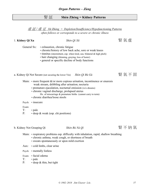# 腎 証 **Shèn Zhèng = Kidney Patterns**

虛 証 */* 虛 证 *Xū Zhèng = Depletion/Insufficiency/Hypofunctioning Patterns often follows or corresponds to a severe or chronic illness*

## 1. **Kidney Qi Xu** *Shèn Qì Xū* 腎 氣 虛

General Sx: • exhaustion, chronic fatigue

- chronic/history of low back ache, sore or weak knees
- tinnitus (intermittent, esp. when tired, usu. bilateral & high pitch)
- hair changing (thinning, graying, loss of luster)
- general or specific decline of body functions
- a. Kidney Qi Not Secure (not securing the lower Yin) *Shèn Qì Bù Gù* **图** 图 氯 不 固
	- Main:  $\cdot$  more frequent  $\&$ /or more copious urination, incontinence or enuresis weak stream, dribbling after urination; nocturia
		- premature ejaculation, nocturnal emission (w/o dreams)
		- chronic vaginal discharge, prolapsed uterus
			- Hx. of miscarriage & premature births (cannot carry to term)
		- chronic diarrhea/loose stools
	- Psych: insecure

Exam:

- T: pale
- P: deep & weak (esp. chi positions)

b. Kidney Not Grasping Qi *Shèn Bù Nà Qì* 图不納氣



- Main: respiratory problems esp. difficulty with inhalation, rapid, shallow breathing
	- chronic asthma, weak cough, or shortness of breath
	- sweats spontaneously or upon mild exertion
- Aux: cold limbs, clear urine
- Psych: mentally listless
- Exam: facial edema
- T: pale
- P: · deep & thin, but tight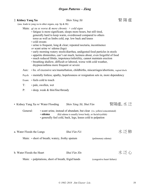## 2. **Kidney Yang Xu Shèn Yáng Xū bho huyết khiển giao khiển khiển khiển khiển khiển khiển khiển khiển khiển khiển khiển khiển khiển khiển khiển khiển khiển khiển khiển khiển khiển khiển khiển khiển khiển khiển khiển kh**

(usu. leads to yang xu in other organs, esp. Sp  $&Ht)$ )

- Main: *qi xu sx worse & more chronic + cold signs*
	- fatigue is more significant, sleeps more hours, but still tired, generally hard to keep warm, overdressed compared to others torso as well as limbs cold, esp. low back and knees
	- cold sweats
	- urine is frequent, long & clear; repeated nocturia, incontinence *or* scant urine w/ edema (legs)
	- early morning watery stools/diarrhea, undigested food particles in stools
	- appetite diminishes, can't eat much, laziness about, even forgetful of food
	- much reduced libido, impotence/infertility, cannot maintain erection
	- breathing shallow, difficult or labored, worse with cold weather, dsypnea/asthma more frequent or severe
- Aux: hx. of excessive sex/masturbation, childbirths, miscarriages/abortions, vaginal disch.
- Psych: mentally listless; apathy, hopelessness or resignation sets in, more dependency
- Exam: feels cold to touch
- T: pale, swollen, wet
- P: deep, weak & thin/fine/thready
- Kidney Yang Xu w/ Water Flooding *Shèn Yáng Xū*, Shuǐ Fàn **胃陽**慮, 水泛
	- General: scant urine, instead of abundant, but clear (vs. yellow/concentrated)
		- **edema** (Kd edema is usually lower body, or facial/eyelids)
		- generally feel cold, back, legs, knees cold to palpation
- a. Water Floods the Lungs *Shuǐ Fàn Fèi* 水 泛 肺 Main: • short of breath; watery, frothy sputum (pulmonary edema)
- b. Water Floods the Heart *Shuǐ Fàn XIn*  $\overline{X}$   $\overline{Y}$   $\overline{Y}$   $\overline{Y}$   $\overline{Y}$

Main: • palpitations, short of breath, frigid hands (congestive heart failure)

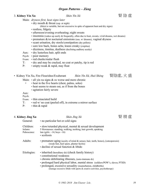### *Organ Patterns – Zàng*

### 3. **Kidney Yin Xu Shèn Yīn Xū bear Yīn Xū bear 11** 【 】 图 陰 虛

- Main: *dryness first, heat signs later*
	- dry mouth & throat (esp. at night)
		- (thirst is variable, but not excessive in spite of apparent heat and dry signs)
	- restless, fidgety
	- afternoon/evening overheating; night sweats
	- insomnia (wakes up easily & frequently, often due to heat, sweats, vivid dreams, wet dreams)
	- premature  $&\&/$  or nocturnal emissions (usu. w/ dreams), vaginal dryness
	- scant urination, dry stools/constipation (dry pellets)
	- sore low back, bones ache, knees creaky (crepitus)
	- dizziness, tinnitus, deafness (declining auditory acuity)
- Aux: dry lusterless hair, split ends
- Psych: poor memory
- Exam: red cheeks/malar flush
- T: dry and may be cracked, no coat or patchy, tip is red
- P: empty-weak & rapid, may float
- Kidney Yin Xu, Fire Flourishes/Exuberant *Shèn Yīn Xū*, *Huǒ Shèng* 腎陰虚, 火 盛



- Main:  $\cdot$  all yin xu signs & sx worse and more chronic
	- + heat in the five hearts (chest, palms, soles)
		- heat seems to steam out, as if from the bones
		- agitation fairly severe

Aux:

- Psych:
- Exam: thin emaciated build
- T: red w/ no coat (peeled off), in extreme a mirror surface
- P: thin & rapid

4. **Kidney Jing Xu** *Shèn Jīng Xū* 腎 精 虛

General: • no particular hot or cold signs Children: • slow/retarded physical, mental & sexual development Infants: 5 Slownesses: standing, walking, teething, hair growth, speaking Pubescence: late (girls: ~14: bovs ~16) late (girls:  $\sim$ 14; boys  $\sim$ 16) • scoliosis Adults: • premature aging (acuity of mind & senses; hair, teeth, bones), (osteoporosis) (weak feet, heel spurs, plantar facitis) • decline of sexual function & libido Etiologies: • inherited (hereditary dz) (check family history) • constitutional weakness • chronic debilitating illnesses, (auto-immune dz) • prolonged hard physical labor, mental stress (soldiers/POW's, slaves; PTSD) • prolonged, excessive sexuality (masturbation, childbirths) (manage excessive libido with sports & creative activities, psychotherapy)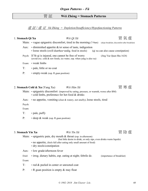# 胃 証 **Wèi Zhèng = Stomach Patterns**

虛 証 */* 虛 证 *Xū Zhèng = Depletion/Insufficiency/Hypofunctioning Patterns*

| 1. Stomach Qi Xu  |                                                                                                                                                                             | Wèi Qì $X\bar{u}$ |                                     | 胃 氣 虛                                         |
|-------------------|-----------------------------------------------------------------------------------------------------------------------------------------------------------------------------|-------------------|-------------------------------------|-----------------------------------------------|
|                   | Main: $\cdot$ vague epigastric discomfort, tired in the morning (7-9am)                                                                                                     |                   |                                     | (skips breakfast, discomfort after breakfast) |
| Aux:              | $\cdot$ diminished appetite $\&$ /or sense of taste, indigestion<br>• loose stools (swill diarrhea=undig. food in stools)                                                   |                   | (qi xu can also cause constipation) |                                               |
| Psych:            | If St qi is injured, one cannot be free of worry<br>(avoid exc. cold $\&$ raw foods, ice water, esp. when yang is also xu)                                                  |                   | (Jing Yue Quan Shu 1624)            |                                               |
| Exam:             | • weak limbs                                                                                                                                                                |                   |                                     |                                               |
| T:                | · pale, little or no coat                                                                                                                                                   |                   |                                     |                                               |
| P:                | • empty-weak (esp. R guan position)                                                                                                                                         |                   |                                     |                                               |
|                   | 2. Stomach Cold & Xu (Yang Xu)<br>Main: • epigastric discomfort (improved by eating, pressure, or warmth, worse after BM)<br>· cold limbs, preference for hot food & drinks | Wèi Hán Xū        |                                     | 峎 寒 虛                                         |
| Aux:              |                                                                                                                                                                             |                   |                                     |                                               |
| Psych:            | • no appetite, vomiting (clear & watery, not smelly), loose stools, tired                                                                                                   |                   |                                     |                                               |
| Exam:             |                                                                                                                                                                             |                   |                                     |                                               |
| $T$ :             | $\cdot$ pale, puffy                                                                                                                                                         |                   |                                     |                                               |
| P:                | • deep & weak (esp. R guan position)                                                                                                                                        |                   |                                     |                                               |
| 3. Stomach Yin Xu |                                                                                                                                                                             | Wèi Yīn Xū        |                                     |                                               |

Main: • epigastric pain, dry mouth & throat (esp. in afternoon)

(but little desire to drink, or only sips, even drinks warm liquids)

• no appetite, (feels full after eating only small amount of food)

- dry stools/constipation
- Aux: low grade/afternoon fever

Etiol: • irreg. dietary habits, esp. eating at night; febrile dz. (importance of breakfast) Exam:

- T: red & peeled in center or unrooted coat
- P: R guan position is empty & may float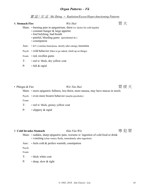### *Organ Patterns – Fǔ*

實 証 */* 实 证 *Shí Zhèng = Repletion/Excess/Hyper-functioning Patterns*

### 4. **Stomach Fire** *Wèi Huǒ* 胃 火

- Main: burning pain in epigastrium, thirst (w/desire for cold liquids)
	- constant hunger & large appetite
	- foul belching, bad breath
	- painful, bleeding gums (periodontal dz.)
	- constipation
- Aux: n/v (vomitus burns)(usu. shortly after eating), insomnia
- Psych: wild behavior (likes to go naked, climb up on things)
- Exam: red, swollen gums
- T: red w/ thick, dry yellow coat
- P: full & rapid
- Phlegm & Fire *Wèi Tán Huǒ w* The *Wèi Tán Huǒ* **冒痰火**

Main: • more epigastric fullness, less thirst, more nausea, may have mucus in stools

Psych: • even more bizarre behavior (maybe psychotic)

Exam:

- T: red w/ thick, greasy yellow coat
- P: slippery & rapid

### 5. Cold Invades Stomach *Hán Fàn Wèi* **entraires and 实犯冒**

- Main: sudden, sharp epigastric pain, worsens w/ ingestion of cold food or drink • vomiting (clear watery fluids, immediately after ingestion)
- Aux: feels cold & prefers warmth, constipation

Psych:

Exam:

- T: thick white coat
- P: · deep, slow & tight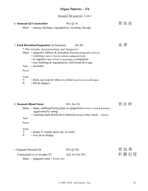### *Organ Patterns – Fǔ*

*Stomach Shi patterns (cont.)*

### 6. Stomach Qi Counterflow *Wèi Qì Ni* **Electronic Strategy** 最远

Main: • nausea, belching, regurgitation, vomiting; hiccups

## 7. **Food Retention/Stagnation** (in Stomach) *Shí Zhì* (3) **comage of the community of the community of the community of the community of the community of the community of the community of the community of the community of**

*\* This includes 'food poisoning' and 'hangovers'*

- Main: epigastric fullness & distention (belching temporarily relieves)
	- vomiting (vomit is foul & contains undigested food)
	- no appetite (idea of food is nauseating), constipation
	- sour belching  $&$  regurgitation, foul breath  $&$  /or gas
- Aux: insomnia

Psych:

Exam:

- T: thick coat (can be white or yellow) (can be hot or cold types)
- P: full & slippery

| 8. Stomach Blood Stasis                                                                           | Wèi Xuè Yū                                                                                                                                                           |                                  |
|---------------------------------------------------------------------------------------------------|----------------------------------------------------------------------------------------------------------------------------------------------------------------------|----------------------------------|
| aggravated by eating                                                                              | Main: $\cdot$ sharp, stabbing/boring pains in epigastrium (worse w/heat & pressure)<br>• vomiting (dark blood) $\&$ /or black(like lacquer) tarry stools<br>(ulcers) |                                  |
| Aux:                                                                                              |                                                                                                                                                                      |                                  |
| Psych:                                                                                            |                                                                                                                                                                      |                                  |
| Exam:<br>$T$ :<br>$\cdot$ purple w/ purple spots esp. in center<br>$\cdot$ wiry &/or choppy<br>P: |                                                                                                                                                                      |                                  |
| • Stagnant Stomach Qi                                                                             | Wèi Qì Zhì                                                                                                                                                           | 胃 氣 滯                            |
| Constrained Liver Invades ST                                                                      | Gān Yù Fàn Wèi                                                                                                                                                       | 胃<br>鬱<br>$\partial \mathcal{F}$ |

Main:  $\cdot$  epigastric pain + Liver s/sx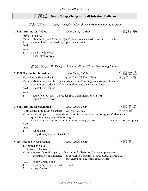# 小 腸 証 **Xiǎo Cháng Zhèng = Small Intestine Patterns**

虛 証 */* 虛 证 *Xū Zhèng = Depletion/Insufficiency/Hypofunctioning Patterns*

|                      | 1. Sm. Intestine Xu & Cold<br>(Sp/ST Yang Xu)                                        | Xiǎo Cháng Xū Hán                                                                                                                                                                                                                                                                                                   | 小腸虛寒                          |
|----------------------|--------------------------------------------------------------------------------------|---------------------------------------------------------------------------------------------------------------------------------------------------------------------------------------------------------------------------------------------------------------------------------------------------------------------|-------------------------------|
| Aux:<br>Psych:       | · gas, cold/sloppy diarrhea, copious clear urine                                     | Main: $\cdot$ abdominal pain & borborygmus, (better with warmth & pressure)                                                                                                                                                                                                                                         | (Crohn's)                     |
| Exam:<br>T:<br>P:    | • pale w/ white coat<br>• deep, slow & weak                                          |                                                                                                                                                                                                                                                                                                                     |                               |
|                      |                                                                                      | $\frac{f}{f}$ $\frac{f}{f}$ $\frac{f}{f}$ $\frac{f}{f}$ $\frac{f}{f}$ $\frac{f}{f}$ $\frac{f}{f}$ $\frac{f}{f}$ $\frac{f}{f}$ $\frac{f}{f}$ $\frac{f}{f}$ $\frac{f}{f}$ $\frac{f}{f}$ $\frac{f}{f}$ $\frac{f}{f}$ $\frac{f}{f}$ $\frac{f}{f}$ $\frac{f}{f}$ $\frac{f}{f}$ $\frac{f}{f}$ $\frac{f}{f}$ $\frac{f}{f}$ |                               |
|                      | 2. Full Heat in Sm. Intestine                                                        | Xiăo Cháng Shí Rè                                                                                                                                                                                                                                                                                                   | 小腸實熱                          |
|                      | Heart Passes Heat to the SI                                                          | (Xīn Yi Rè Yú Xiǎo Cháng)                                                                                                                                                                                                                                                                                           | 心移熱于小腸                        |
|                      | Psych: • mental restlessness                                                         | Main: • abdominal pain, thirst, scant, dark, painful/burning urine (w/possible blood)<br>Aux: • sore throat, sudden deafness, mouth/tongue ulcers, chest heat                                                                                                                                                       |                               |
| Exam:<br>$T$ :<br>P: | $\cdot$ rapid & overflowing                                                          | $\cdot$ red w/ yellow coat (tip redder & swollen indicates Ht Fire)                                                                                                                                                                                                                                                 |                               |
|                      | 3. Sm. Intestine Qi Stagnation                                                       | Xiǎo Cháng Qì Zhì                                                                                                                                                                                                                                                                                                   | 小腸氣滯                          |
|                      | (Cold Congealing Liver Channel) Hán Ning Gān Mài                                     |                                                                                                                                                                                                                                                                                                                     | 寒凝肝脈                          |
|                      | (pain is temporarily relieved by passing gas)                                        | Main: • twisting pain in hypogastrium, abdominal distention, borborygmus & flatulence                                                                                                                                                                                                                               |                               |
| Aux:<br>Psych:       |                                                                                      | • pain in or radiates to scrotum or testes (shan qi (hernia)                                                                                                                                                                                                                                                        | Cold in Lr & SI (clock pairs) |
| Exam:<br>$T$ :<br>P: | • white coat<br>$\cdot$ deep $\&$ wiry (esp. in chi positions)                       |                                                                                                                                                                                                                                                                                                                     |                               |
|                      | • Sm. Intestine Qi Obstruction                                                       | Xiǎo Cháng Qì Zǔ                                                                                                                                                                                                                                                                                                    | 小腸氣阻                          |
|                      | a. Knotted by Cold                                                                   |                                                                                                                                                                                                                                                                                                                     |                               |
|                      | b. Obstructed by Worms<br>• constipation & flatulence                                | Main: $\cdot$ severe abdominal pain, borborygmus & distention (worse w/ pressure)<br>(if obstruction is complete, all flatus $&$ stool may terminate)<br>(strangulating hernia, appendicitis, parasites)                                                                                                            |                               |
| T:<br>P:             | Exam: • sallow complexion<br>• thick white coat, bad taste in mouth<br>· deep & wiry |                                                                                                                                                                                                                                                                                                                     |                               |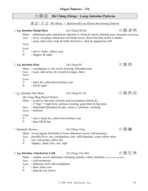#### 實 証 */* 实 证 *Shí Zhèng = Repletion/Excess/Hyper-functioning Patterns*

1. **Lg. Intestine Damp-Heat** *Dà Cháng Shī Rè* 大 腸 濕 熱

Aux: • fever, sweating (which does not break fever), thirst (but little desire to drink)

Main: • abdominal pain, malodorous diarrhea w/ blood & mucus, burning anus, tenesmus (dysentery)

*Organ Patterns – Fǔ*

大 腸 証 **Dà Cháng Zhèng = Large Intestine Patterns**

## • scant, dark urine, body & limbs feel heavy, chest & epigastrium full Psych: Exam: T: • red w/ sticky, yellow coat P: • slippery & rapid 2. **Lg. Intestine Heat** *Dà Cháng Rè* 大 腸 熱 Main: • constipation w/ dry stools, burning, distended anus Aux:  $\cdot$  scant, dark urine, dry mouth & tongue, thirst Psych: Exam: T: • thick dry yellow/brown/black coat P: • full & rapid • Lg. Intestine Heat Bind *Dà Cháng Rè Jié* 大 腸 熱 結 aka Yang Ming Bowel Pattern Main: • as above, but more extreme and accompanies febrile dz. • 4 "bigs" = high fever, profuse sweating, great thirst  $\&$  big pulse Aux: • abdominal distention & pain, worse w/ pressure, vomiting Psych: • delirium Exam: T: • red w/ thick dry yellow/brown/black coat P:  $\cdot$  deep full & big • Intestinal Abscess *Dà Cháng Yōng* The Strain Theory The Strain Theory is the Strain Theory and The Strain Theory is the Strain Theory is the Strain Theory is the Strain Theory is the Strain Theory is the Strain Theory Main: severe/urgent fixed pain in lower abdomen (worse with pressure) Aux: possible fever, usu. constipation, (smt. mild diarrhea), scant yellow urine T: red, with greasy yellow fur P: slippery, rapid, wiry, smt. tight

### 3. Lg. Intestine Attacked by Cold *Dà Cháng Fàn Hán* **han** 大腸犯寒

- Main: sudden, severe abdominal cramping, painful, watery diarrhea (cold can also constipate)
- Aux: cold sensations
- Exam: abdomen feels cold to palpation
- T: thick white coat
- P: · deep & wiry (slow)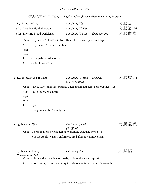## *Organ Patterns – Fǔ*

虛 証 */* 虛 证 *Xū Zhèng = Depletion/Insufficiency/Hypofunctioning Patterns*

| 4. Lg. Intestine Dry       | a. Lg. Intestine Fluid Shortage<br>b. Lg. Intestine Blood Deficiency                                                         | Dà Cháng Zào<br>Dà Cháng Yè Kuī<br>Dà Cháng Xuè Xū | <i>(post partum)</i> | 大腸燥<br>大腸液虧<br>大腸血虛 |
|----------------------------|------------------------------------------------------------------------------------------------------------------------------|----------------------------------------------------|----------------------|---------------------|
| Aux:<br>Psych:<br>Exam:    | Main: • dry stools (pellet-like stools), difficult to evacuate (much straining)<br>$\cdot$ dry mouth $\&$ throat, thin build |                                                    |                      |                     |
| $T$ :<br>P:                | $\cdot$ dry, pale or red w/o coat<br>• thin/thready/fine                                                                     |                                                    |                      |                     |
| 5. Lg. Intestine Xu & Cold |                                                                                                                              | Dà Cháng Xū Hán (elderly)<br>(Sp Qi/Yang Xu)       |                      | 大腸虛寒                |
| Aux:<br>Psych:<br>Exam:    | Main: • loose stools (like duck droppings), dull abdominal pain, borborygmus (IBS)<br>• cold limbs, pale urine               |                                                    |                      |                     |
| $T$ :<br>P:                | • pale<br>• deep, weak, thin/thready/fine                                                                                    |                                                    |                      |                     |
| • Lg. Intestine Qi Xu      | Main: a. constipation: not enough qi to promote adequate peristalsis                                                         | Dà Cháng Qì Xū<br>$(Sp Qi X\bar{u})$               |                      | 大腸氣<br>虚            |
|                            | b. loose stools: watery, unformed, tired after bowel movement                                                                |                                                    |                      |                     |

| • Lg. Intestine Prolapse                                           | Dà Cháng Xiàn                                                            | 大腸陷 |
|--------------------------------------------------------------------|--------------------------------------------------------------------------|-----|
| (Sinking of Sp Oi)                                                 |                                                                          |     |
| Main: • chronic diarrhea, hemorrhoids, prolapsed anus, no appetite |                                                                          |     |
|                                                                    | Aux: • cold limbs, desires warm liquids, abdomen likes pressure & warmth |     |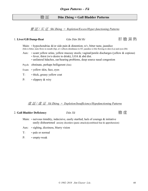## 膽 証 **Dǎn Zhèng = Gall Bladder Patterns**

實 証 */* 实 证 *Shí Zhèng = Repletion/Excess/Hyper-functioning Patterns*

### 1. **Liver/GB Damp-Heat** *Gān Dǎn Shī Rè* 肝 膽 濕 熱

Main: • hypochondriac  $\&$ /or side pain  $\&$  distention; n/v, bitter taste, jaundice (bile is bitter, taste flows to mouth (Sp), n/v reflects distubance to ST; jaundice is bile flowing to skin (Lu) and eyes (Ht)

- Aux: scant yellow urine, yellow mucusy stools; vaginal/penile discharges (yellow & copious) • fever, thirst (w/o desire to drink), LOA & abd dist.
	- unilateral hdaches, ear/hearing problems, deep source nasal congestion

Psych: obstinate, perhaps belligerent (Jim)

- Exam: yellow skin, face, eyes
- T: thick, greasy yellow coat
- P: slippery & wiry

#### 虛 証 */* 虛 证 *Xū Zhèng = Depletion/Insufficiency/Hypofunctioning Patterns*

#### 2. **Gall Bladder Deficiency**  $D\check{a}n X\overline{u}$  **example and**  $\mathbb{I}^{\mathbb{R}}$  (唐 席

- Main:  $\cdot$  nervous timidity, indecisive, easily startled, lack of courage  $\&$  initiative easily disheartened anxiety disorders (panic attacks)(combined fear & apprehension)
- Aux: sighing, dizziness, blurry vision
- T: pale or normal
- P: empty-weak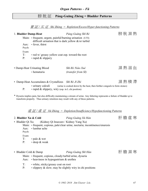# 膀 胱 証 **Páng-Guāng Zhèng = Bladder Patterns**

實 証 */* 实 证 *Shí Zhèng = Repletion/Excess/Hyper-functioning Patterns*

| 1. Bladder Damp-Heat<br>Aux:<br>Psych:<br>Exam:           | Main: • frequent, urgent, painful/burning urination (UTI)<br>difficult urination that is dark yellow $\&$ /or turbid<br>· fever, thirst | Páng-Guāng Shī Rè                                                                                                              | 膀胱濕熱 |
|-----------------------------------------------------------|-----------------------------------------------------------------------------------------------------------------------------------------|--------------------------------------------------------------------------------------------------------------------------------|------|
| T:<br>P:                                                  | • red w/ greasy yellow coat esp. toward the root<br>· rapid & slippery                                                                  |                                                                                                                                |      |
|                                                           | • Damp-Heat Urinating Blood<br>· hematuria                                                                                              | Shī-Rè Niào Xuè<br>(transfer from SI)                                                                                          | 濕熱溺血 |
| P:                                                        | • Damp-Heat Accumulates & Crystallizes Shī Rè Jī Zhì<br>• rapid & slippery, wiry (esp. in L chi position)                               | • urinary calculi (urine is cooked down by the heat, then further congeals to form stones)                                     | 濕熱積滯 |
|                                                           | transform properly. Thus urinary retention may result with any of these patterns.                                                       | * Dysuria implies pain, but also difficulty maintaining a stream of urine. Any faltering represents a failure of bladder qi to |      |
|                                                           |                                                                                                                                         | 虛証/虛证 Xū Zhèng = Depletion/Insufficiency/Hypofunctioning Patterns                                                              |      |
| 2. Bladder Xu & Cold<br>• Bladder Qi Xu<br>Aux:<br>Psych: | (Kidney Qi Insecure / Kidney Yang Xu)<br>• lumbar ache                                                                                  | Páng-Guāng Xū Hán<br>Main: • frequent, copious, pale/clear urine, nocturia; incontinence/enuresis                              | 肝膽虛寒 |
| Exam:<br>T:<br>P:                                         | $\cdot$ pale $\&$ wet<br>· deep & weak                                                                                                  |                                                                                                                                |      |
| • Bladder Cold & Damp<br>Aux:                             | Main: • frequent, copious, cloudy/turbid urine, dysuria<br>$\cdot$ heaviness in hypogastrium $\&$ urethra                               | Páng-Guāng Shī Hán                                                                                                             | 肝膽濕寒 |
| T:<br>P:                                                  | • white, sticky/greasy coat on root<br>· slippery & slow; may be slightly wiry in chi positions                                         |                                                                                                                                |      |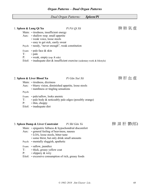## *Dual Organ Patterns: Spleen/Pí*

| 1. Spleen & Lung Qi Xu |                                                                                                                                                                                                      | Pi Fèi Qì Xū                                                                              | 脾肺氣虛       |
|------------------------|------------------------------------------------------------------------------------------------------------------------------------------------------------------------------------------------------|-------------------------------------------------------------------------------------------|------------|
|                        | Main: • tiredness, insufficient energy<br>Aux: • shallow resp. small appetite<br>• weak voice, loose stools<br>· easy to get sick, easily sweat<br>Psych: • needy, "never enough", weak constitution |                                                                                           |            |
| T:<br>P:               | Exam: $\cdot$ pale face & skin<br>• pale<br>• weak, empty (esp. R side)                                                                                                                              | Etiol: $\cdot$ inadequate diet $\&$ insufficient exercise (sedentary work $\&$ lifestyle) |            |
|                        | 2. Spleen & Liver Blood Xu                                                                                                                                                                           | Pi Gān Xuè Xū                                                                             | 脾肝血虛       |
| Psych:                 | Main: • tiredness, dizziness<br>• numbness or tingling sensations                                                                                                                                    | Aux: • blurry vision, diminished appetite, loose stools                                   |            |
| $T$ :<br>P:            | Exam: • pale/sallow, looks anemic<br>• thin, choppy<br>Etiol: • inadequate diet                                                                                                                      | • pale body & noticeably pale edges (possibly orange)                                     |            |
|                        | 3. Spleen Damp & Liver Constraint Pi Shī Gān Yù                                                                                                                                                      |                                                                                           | 脾 濕 肝 鬱(郁) |
|                        | Aux: • general feeling of heaviness, nausea<br>• LOA, loose stools, bitter taste<br>• some thirst, but only drink small amounts<br>Psych: • mentally sluggish, apathetic                             | Main: • epigastric fullness & hypochondrial discomfort                                    |            |
|                        | Exam: • sallow, jaundice                                                                                                                                                                             |                                                                                           |            |

- T: thick, greasy yellow coat<br>P: slippery & wiry
- slippery & wiry
- Etiol: excessive consumption of rich, greasy foods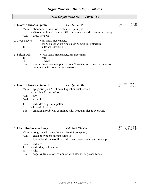|                                                                                |                                                                                                                                 | <b>Dual Organ Patterns:</b> | Liver/Gān                                                                            |         |
|--------------------------------------------------------------------------------|---------------------------------------------------------------------------------------------------------------------------------|-----------------------------|--------------------------------------------------------------------------------------|---------|
| 1. Liver Qi Invades Spleen<br>Aux:                                             | Main: • abdominal discomfort, distention, pain, gas<br>• tired, irritable                                                       | Gān Qì Fàn Pí               | • alternating bowel pattern (difficult to evacuate, dry pieces vs. loose)            | 肝氣犯脾    |
| a. Liver Excess:<br>T:<br>P:                                                   | • dry stools predominate,<br>· gas & distention are pronounced & more uncomfortable<br>· sides are red/orange<br>$\cdot$ L wiry |                             |                                                                                      |         |
| b. Spleen Def:<br>$T$ :<br>P:                                                  | • loose stools predominate, less discomfort;<br>• pale<br>• R weak<br>combined with poor diet & overwork                        |                             | Etiol: • usu. an emotional component (hx. of frustration, anger, stress, resentment) |         |
| 2. Liver Qi Invades Stomach<br>$\cdot$ n/v<br>Aux:<br>Psych: $\cdot$ irritable | Main: $\cdot$ epigastric pain & fullness, hypochondrial tension<br>$\cdot$ belching $\&$ sour reflux                            | Gān Qì Fàn Wèi              |                                                                                      | 肝 氣 犯 胃 |
| T:<br>P:                                                                       | • red sides or general pallor<br>• R weak, L wiry<br>Etiol: $\cdot$ emotional problems combined with irregular diet & overwork  |                             |                                                                                      |         |

## 3. **Liver Fire Invades Lungs** *Gān Huǒ Fàn Fèi* 肝 火 犯 肺

- Main: cough or wheezing (yellow or blood tinged sputum)
- Aux: chest & hypochondrium fullness
	- headache, dizziness, thirst, bitter taste, scant dark urine, constip.
- Exam: red face
- T: red sides, yellow coat
- P: wiry
- Etiol: anger & frustration, combined with alcohol & greasy foods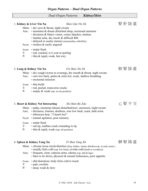#### *Dual Organ Patterns: Kidney/Shèn*

|                | 1. Kidney & Liver Yin Xu                             | Shèn Gān Yīn Xū                                                                                                                                                                                                          | 腎肝陰虛 |
|----------------|------------------------------------------------------|--------------------------------------------------------------------------------------------------------------------------------------------------------------------------------------------------------------------------|------|
|                | Main: $\cdot$ dry eyes & throat, night sweats        | Aux: • insomnia & dream disturbed sleep, nocturnal emission<br>· dizziness & blurry vision, vertex hdaches, tinnitus<br>• lumbar ache, dry stools & difficult BM<br>• delayed or scanty menses (amenorrhea, infertility) |      |
|                | Psych: $\cdot$ restless & easily angered             |                                                                                                                                                                                                                          |      |
| Exam:<br>$T$ : | • malar flush<br>• red, cracked, w/o coat or peeling |                                                                                                                                                                                                                          |      |

P: • thin & rapid, weak, but wiry

## 2. Lung & Kidney Yin Xu *Fèi Shèn Yīn Xū* hong hong hij 腎陰虚

- Main:  $\cdot$  dry cough (worse in evening), dry mouth & throat, night sweats
- Aux: sore low back, palms & soles hot, weak, shallow breathing
	- nocturnal emission
- Exam: thin build
- T: red, peeled, transverse cracks
- P: empty & weak (esp. in cun position)

## 3. **Heart & Kidney Not Interacting** *Xīn Shèn Bù Jiāo* 心 腎 不 交

- Main: palps, insomnia (dream disturbed/noct. emission), night sweats
- Aux: dizziness, tinnitus, deafness, sore low back, scant, dark urine • afternoon heat, "5 hearts hot"
- Psych: mental agitation, poor memory
- Exam: malar flush
- T: red tip, midline crack extending to tip
- P: thin & rapid, weak (esp. chi position)

## 4. Spleen & Kidney Yang Xu *Pí Shèn Yáng Xū* **produk ang yang yang kalip ang yang yang kalip ang yang kalip ang y**

Main: • chronic loose stools/diarrhea (freq. borbor, watery diarrhea esp. in early morn.)

- usually feels cold (esp. low back), avoids cold (tends to overdress)
- Aux: frequent, clear, copious urine, edema (esp. abd & legs)
	- likes to lie down, physical & mental listlessness, poor appetite
- Exam: abd distention, body feels cold to touch
- T: pale, swollen
- P: deep, weak & slow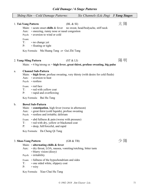| Cold Damage / 6 Stage Patterns |                                                                                                                                                                                                 |           |                                                                                       |                      |  |
|--------------------------------|-------------------------------------------------------------------------------------------------------------------------------------------------------------------------------------------------|-----------|---------------------------------------------------------------------------------------|----------------------|--|
|                                | Shāng Hán – Cold Damage Patterns:                                                                                                                                                               |           | Six Channels (Liù Jīng)                                                               | <b>3 Yang Stages</b> |  |
|                                | 1. Tai-Yang Pattern<br>Main: • acute onset chills & fever<br>Aux: • sneezing, runny nose or nasal congestion<br>Psych: • aversion to wind or cold<br>Exam:                                      | (BL & SI) | no sweat, head/bodyache, stiff neck                                                   | 太陽                   |  |
|                                | T:<br>• no change yet<br>P:<br>• floating or tight                                                                                                                                              |           |                                                                                       |                      |  |
|                                | Key Formula: Ma Huang Tang or Gui Zhi Tang                                                                                                                                                      |           |                                                                                       |                      |  |
|                                | 2. Yang-Ming Pattern                                                                                                                                                                            | (ST &LI)  | Main: $\cdot$ 4 big/strong sx = high fever, great thirst, profuse sweating, big pulse | 陽明                   |  |
| a.                             | <b>Channel Sub-Pattern</b><br>• aversion to heat<br>Aux:<br>Psych: • restless                                                                                                                   |           | Main: • high fever, profuse sweating, very thirsty (with desire for cold fluids)      |                      |  |
|                                | Exam: • red face<br>• red with yellow coat<br>T:<br>• rapid and overflowing<br>P:                                                                                                               |           |                                                                                       |                      |  |
|                                | Key Formula: Bai Hu Tang                                                                                                                                                                        |           |                                                                                       |                      |  |
| $\mathbf b$ .                  | <b>Bowel Sub-Pattern</b><br>Main: $\cdot$ constipation, high fever (worse in afternoon)<br>• great thirst (cold liquids), profuse sweating<br>Aux:<br>Psych: • restless and irritable; delirium |           |                                                                                       |                      |  |
|                                | $\cdot$ abd fullness $\&$ pain (worse with pressure)<br>Exam:<br>T:<br>· red with dry, yellow or blackened coat                                                                                 |           |                                                                                       |                      |  |

P: · deep, full/forceful, and rapid

Key Formula: Da Cheng Qi Tang

## 3. **Shao-Yang Pattern** (GB & TB)  $\mathcal{D} \boxtimes \mathbb{R}$

## Main: • **alternating chills & fever**

- Aux: dry throat, LOA, nausea, vomiting/retching, bitter taste
	- blurry vision (dizzy)
- Psych: irritability
- Exam: fullness of the hypochondrium and sides
- T: one sided white, slippery coat
- P: wiry

Key Formula: Xiao Chai Hu Tang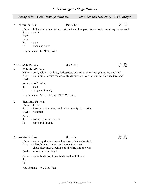| Shāng Hán – Cold Damage Patterns: | Six Channels (Liù Jīng) 3 Yin Stages |  |
|-----------------------------------|--------------------------------------|--|
|                                   |                                      |  |

### 4. **Tai-Yin Pattern** (Sp & Lu) (Sp & Lu) 太 陰

Main: • LOA, abdominal fullness with intermittent pain, loose stools, vomiting, loose stools Aux: • no thirst Psych:

Exam:

T: • pale P: • deep and slow

Key Formula: Li Zhong Wan

## 5. **Shao-Yin Pattern** (Ht & Kd) (Ht & Kd) 少 陰

### a. **Cold Sub-Pattern**

Main:  $\cdot$  cold, cold extremities, listlessness, desires only to sleep (curled-up position) Aux: • no thirst, or desire for warm fluids only; copious pale urine; diarrhea (watery) Psych:

Exam: • cold limbs

T: • pale

P: • deep and thready

Key Formula: Si Ni Tang *or* Zhen Wu Tang

### b. **Heat Sub-Pattern**

- Main: fever
- Aux: insomnia, dry mouth and throat; scanty, dark urine
- Psych: vexation

Exam:

T: • red or crimson w/o coat

P: • rapid and thready

### 6. **Jue-Yin Pattern** (Lr & Pc) 厥 陰

Main: • vomiting & diarrhea (with presence of worms/parasites)

- Aux: thirst, hunger, but no desire to actually eat chest discomfort, feelings of qi rising into the chest
- Psych: vexation in the heart
- Exam: upper body hot, lower body cold; cold limbs

T: P:

Key Formula: Wu Mei Wan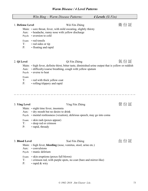|                                    | Wēn Bing – Warm Disease Patterns:<br>4 Levels (Si Fèn)                                                                                                                                     |       |
|------------------------------------|--------------------------------------------------------------------------------------------------------------------------------------------------------------------------------------------|-------|
| 1. Defense Level<br>Aux:<br>Psych: | Wèi Fèn Zhèng<br>Main: • sore throat, fever, with mild sweating, slightly thirsty<br>• headache, runny nose with yellow discharge<br>• aversion to cold                                    | 衛 份 証 |
| T:<br>P:                           | Exam: • red tonsils<br>• red sides or tip<br>• floating and rapid                                                                                                                          |       |
| 2. Qi Level                        | Qì Fèn Zhèng                                                                                                                                                                               | 氣 份 証 |
| Aux:                               | Main: • high fever, definite thirst, bitter taste, diminished urine output that is yellow or reddish<br>• difficulty/coarse breathing, cough with yellow sputum<br>Psych: • averse to heat |       |
| Exam:<br>$T$ :<br>$P$ :            | • red with thick yellow coat<br>• rolling/slippery and rapid                                                                                                                               |       |
| 3. Ying Level<br>Aux:<br>Psych:    | Yíng Fèn Zhèng<br>Main: • night time fever, insomnia<br>• dry mouth but no desire to drink<br>• mental restlessness (vexation), delirious speech, may go into coma                         | 營 份 証 |
| T:<br>P:                           | Exam: • skin rash (poxes appear)<br>· deep red or crimson<br>· rapid, thready                                                                                                              |       |
| 3. Blood Level                     | Xuè Fèn Zhèng                                                                                                                                                                              | 血份証   |
| Aux:                               | Main: • high fever, bleeding (nose, vomitus, stool, urine etc.)<br>• convulsions<br>Psych: • manic delirium                                                                                |       |
| Exam:<br>T:<br>P:                  | • skin eruptions (poxes full blown)<br>• crimson red, with purple spots, no coat (bare and mirror-like)<br>· rapid & wiry                                                                  |       |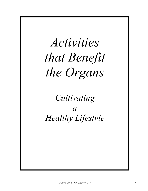

*Cultivating a Healthy Lifestyle*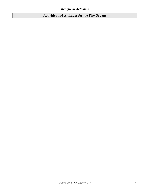# **Activities and Attitudes for the Fire Organs**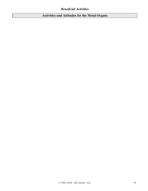# **Activities and Attitudes for the Metal Organs**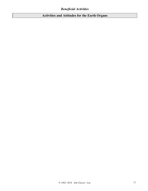# **Activities and Attitudes for the Earth Organs**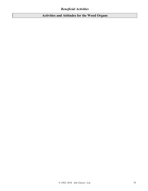# **Activities and Attitudes for the Wood Organs**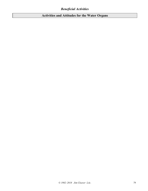# **Activities and Attitudes for the Water Organs**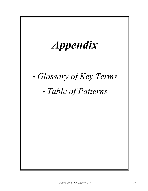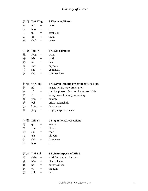# *Glossary of Terms*

|    | 五行 Wǔ Xíng      |                                     | <b>5 Elements/Phases</b>                      |
|----|-----------------|-------------------------------------|-----------------------------------------------|
| 木  | mù              | $=$                                 | wood                                          |
| 火  | $hu\delta =$    |                                     | fire                                          |
| 土  | tŭ              | $\hspace{1.6cm} = \hspace{1.6cm}$   | earth/soil                                    |
| 金  | $j\bar{m}$      | $=$                                 | metal                                         |
| 水  | shuĭ            | $\hspace*{0.4em} = \hspace*{0.4em}$ | water                                         |
|    |                 |                                     |                                               |
|    | 六氣 Liù Qì       |                                     | <b>The Six Climates</b>                       |
| 風  | fēng            | $=$                                 | wind                                          |
| 寒  | hán             | $=$                                 | cold                                          |
| 熱  | $r\grave{e}$ =  |                                     | heat                                          |
| 燥  | $z\dot{a}o =$   |                                     | dryness                                       |
| 濕  | $sh\bar{1}$     | $=$                                 | dampness                                      |
| 暑  | shŭ             | $=$                                 | summer-heat                                   |
|    |                 |                                     |                                               |
|    | 七 情 Qī Qíng     |                                     | <b>The Seven Emotions/Sentiments/Feelings</b> |
| 怒  | nù              | $=$                                 | anger, wrath, rage, frustration               |
| 喜  | xĭ              | $=$                                 | joy, happiness, pleasure; hyper-excitable     |
| 思  | $S\overline{1}$ | $\hspace{1.6cm} = \hspace{1.6cm}$   | worry, over thinking, obsessing               |
| 憂  | yōu             | $\hspace{1.6cm} = \hspace{1.6cm}$   | anxiety                                       |
| 悲  | bēi             | $=$                                 | grief, melancholy                             |
| 恐  | $k\text{öng}$ = |                                     | fear, terror                                  |
| 驚  | jīng            | $=$                                 | fright, surprise, shock                       |
|    |                 |                                     |                                               |
| 六鬱 | Liù Yù          |                                     | <b>6 Stagnations/Depressions</b>              |
| 氣  | qì              | $=$                                 | energy                                        |
| 血  | xuè             |                                     | blood                                         |
| 食  | shí             | =                                   | food                                          |
| 痰  | tán             | $=$                                 | phlegm                                        |
| 濕  | shī             | $=$                                 | dampness                                      |
| 火  | huŏ             | =                                   | fire                                          |
|    |                 |                                     |                                               |
| 五志 | Wǔ Zhì          |                                     | <b>5 Spirits/Aspects of Mind</b>              |
| 神  | shén            |                                     | spirit/mind/consciousness                     |
| 魂  | hún             | =                                   | ethereal soul                                 |
| 魄  | pò              |                                     | corporeal soul                                |
| 意  | yì              |                                     | thought                                       |
| 志  | zhì             | =                                   | will                                          |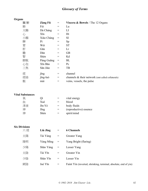# *Glossary of Terms*

## **Organs**

| 臟腑 | Zàng Fǔ        | $=$ | <b>Viscera &amp; Bowels</b> / The 12 Organs       |
|----|----------------|-----|---------------------------------------------------|
| 肺  | Fèi            | $=$ | Lu                                                |
| 大腸 | Dà Cháng       | $=$ | $_{\rm LI}$                                       |
| 心  | Xīn            | $=$ | Ht                                                |
| 小腸 | Xiăo Cháng     | $=$ | SI                                                |
| 脾  | P <sub>1</sub> | $=$ | Sp                                                |
| 胃  | Wèi            | $=$ | <b>ST</b>                                         |
| 肝  | Gān            | $=$ | Lr                                                |
| 膽  | Dăn            | $=$ | <b>GB</b>                                         |
| 腎  | Shèn           | $=$ | Kd                                                |
| 膀胱 | Páng Guāng     | $=$ | BL                                                |
| 心包 | Xīn Bāo        | $=$ | $P_{c}$                                           |
| 三焦 | Sān Jiāo       | =   | TB                                                |
| 經  | jīng           | $=$ | channel                                           |
| 經絡 | jīng-luò       | $=$ | channels & their network (smt called collaterals) |
| 脈  | mài            | =   | veins, vessels, the pulse                         |

### **Vital Substances**

| 氣  | Οì     |     | vital energy           |
|----|--------|-----|------------------------|
| ÍТ | Xuè    |     | blood                  |
| 津液 | Jīn-Yè | $=$ | body fluids            |
| 神  | Jīng   |     | (reproductive) essence |
| 神  | Shén   |     | spirit/mind            |
|    |        |     |                        |

#### **Six Divisions**

| 六經 | Liù Jīng  |     | <b>6 Channels</b>                                               |
|----|-----------|-----|-----------------------------------------------------------------|
| 太陽 | Tài Yáng  | $=$ | Greater Yang                                                    |
| 陽明 | Yáng Míng | $=$ | Yang Bright (flaring)                                           |
| 少陽 | Shão Yáng | $=$ | Lesser Yang                                                     |
| 太陰 | Tài Yīn   | $=$ | Greater Yin                                                     |
| 少陰 | Shăo Yīn  | $=$ | Lesser Yin                                                      |
| 厥陰 | Jué Yīn   | $=$ | Faint Yin (inverted, shrinking, terminal, absolute, end of yin) |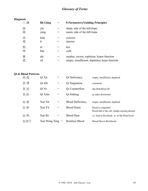# *Glossary of Terms*

## **Diagnosis**

| ∍ | 八綱     | <b>Bā Gāng</b> |            | <b>8 Parameters/Guiding Principles</b>                                                      |
|---|--------|----------------|------------|---------------------------------------------------------------------------------------------|
|   | 陰<br>陽 | yīn<br>yáng    |            | shady side of the hill/slope<br>sunny side of the hill/slope                                |
|   | 表<br>裡 | biăo<br>lĭ     |            | exterior<br>interior                                                                        |
|   | 熱<br>寒 | rè<br>hán      | $=$<br>$=$ | hot<br>cold                                                                                 |
|   | 實<br>虛 | shí<br>xū      | $=$        | surplus, excess, repletion; hyper-function<br>empty, insufficient, depletion; hypo-function |

## **Qi & Blood Patterns**

| 氣虛  | Qì Xū         |                   | Qi Deficiency           | empty, insufficient, depleted                                         |
|-----|---------------|-------------------|-------------------------|-----------------------------------------------------------------------|
| 氣滯  | Qì Zhì        | =                 | Qi Stagnation           | constraint                                                            |
| 氣逆  | Qì Nì         | $=$               | Qi Counterflow          | aka Rebellious Qi                                                     |
| 氣陷  | Qì Xiàn       | $=$               | Qi Sinking              | qi sinks downward                                                     |
| 血虛  | Xuè Xū        | $=$               | <b>Blood Deficiency</b> | empty, insufficient, depleted                                         |
| 血 瘀 | Xuè Yū        | $=$               | <b>Blood Stasis</b>     | blood is congealed<br>blood that is like silt, sludge causing disease |
| 血熱  | Xuè Rè        | $=$               | <b>Blood Heat</b>       | i.e. heat in the blood, or at the blood level                         |
| 血妄行 | Xuè Wàng Xíng | $\!\!\!=\!\!\!\!$ | Reckless Blood          | <b>Blood Moves Recklessly</b>                                         |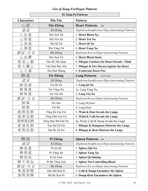┑

| 01 Zang-Fu Patterns |                      |                                                   |  |  |  |
|---------------------|----------------------|---------------------------------------------------|--|--|--|
| <b>Characters</b>   | Pīn-Yīn              | Pattern                                           |  |  |  |
| 心証                  | Xīn Zhèng            | <b>Heart Patterns</b><br>(8)                      |  |  |  |
| 虚証                  | Xū Zhèng             | Depletion/Insufficiency/Hypo-functioning Patterns |  |  |  |
| 心血虛                 | Xīn Xuè Xū           | 1. Heart Blood Xu                                 |  |  |  |
| 心陰虛                 | Xīn Yīn Xū           | 2. Heart Yin Xu                                   |  |  |  |
| 心氣虛                 | Xīn Qì Xū            | 3. Heart Qi Xu                                    |  |  |  |
| 心陽虛                 | Xīn Yáng Xū          | 4. Heart Yang Xu                                  |  |  |  |
| 實証/实证               | Shí Zhèng            | Repletion/Excess/Hyper-functioning Patterns       |  |  |  |
| 心血鬱                 | Xīn Xuè Yù           | 5. Heart Blood Stasis                             |  |  |  |
| 痰迷心竅                | Tán Mí Xīn Qiào      | 6. Phlegm Confuses the Heart Portals / Mind       |  |  |  |
| 痰火擾心                | Tán Huǒ Rǎo Xīn      | 7. Phlegm & Fire Harass/Agitate the Heart         |  |  |  |
| 心火盛                 | Xīn Huǒ Shèng        | 8. Exuberant Heart Fire                           |  |  |  |
| 肺証                  | Fèi Zhèng            | <b>Lung Patterns</b><br>$(8+2=10)$                |  |  |  |
| 虛証                  | Xū Zhèng             | Depletion/Insufficiency/Hypo-functioning Patterns |  |  |  |
| 肺氣虛                 | Fèi Qì Xū            | 1. Lung Qi Xu                                     |  |  |  |
| 肺陽虛                 | Fèi Yáng Xū          | 1a. Lung Yang Xu                                  |  |  |  |
| 肺陰虛                 | Fèi Yīn Xū           | 2. Lung Yin Xu                                    |  |  |  |
| 實証/实证               | Shi Zhèng            | Repletion/Excess/Hyper-functioning Patterns       |  |  |  |
| 肺燥                  | Fèi Zào              | 3. Lung Dryness                                   |  |  |  |
| 肺 熱                 | Fèi Rè               | 4. Lung Heat                                      |  |  |  |
| 風熱犯肺                | Fēng Rè Fàn Fèi      | 5. Wind & Heat Invade the Lungs                   |  |  |  |
| 風寒犯肺                | Fēng Hán Fàn Fèi     | 6. Wind & Cold Invade the Lungs                   |  |  |  |
| 風寒濕犯肺               | Fēng Hán Shī Fàn Fèi | 6a. Wind, Cold & Damp Invade the Lungs            |  |  |  |
| 痰濕阻肺                | Tán Shī Zǔ Fèi       | 7. Phlegm & Dampness Obstruct the Lungs           |  |  |  |
| 痰熱阻肺                | Tán Rè Zǔ Fèi        | 8. Phlegm & Heat Obstruct the Lungs               |  |  |  |
|                     |                      |                                                   |  |  |  |
| 脾証                  | Pí Zhèng             | <b>Spleen Patterns</b><br>(6)                     |  |  |  |
| 虛証                  | Xū Zhèng             | Depletion/Insufficiency/Hypo-functioning Patterns |  |  |  |
| 脾氣虛                 | Pí Qì Xū             | 1. Spleen (Qi) Xu                                 |  |  |  |
| 脾陽虛                 | Pí Yáng Xū           | 2. Spleen Yang Xu                                 |  |  |  |
| 脾氣陷                 | Pí Qì Xiàn           | 3. Spleen Qi Sinking                              |  |  |  |
| 脾不統血                | Pí Bù Tǒng Xuè       | 4. Spleen Not-Controlling Blood                   |  |  |  |
| 實証/实证               | Shí Zhèng            | Repletion/Excess/Hyper-functioning Patterns       |  |  |  |
| 寒濕困脾                | Hán Shī Kùn Pí       | 5. Cold & Damp Encumber the Spleen                |  |  |  |
| 濕 熱 困 脾             | Shī Rè Kùn Pí        | 6. Damp-Heat Encumbers the Spleen                 |  |  |  |

## 81 Zang Eu Pattorns

 $\Box$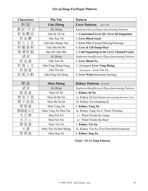| Pīn-Yīn<br><b>Characters</b> |                       | <b>Pattern</b>                                        |
|------------------------------|-----------------------|-------------------------------------------------------|
| 肝証                           | <b>Gān Zhèng</b>      | <b>Liver Patterns</b><br>$(8+1=9)$                    |
| 實証/实证<br>Shí Zhèng           |                       | Repletion/Excess/Hyper-functioning Patterns           |
| 肝氣鬱結                         | Gān Qì Yù Jié         | 1. Constrained Liver Qi / Liver Qi Stagnation         |
| 肝血鬱                          | Gān Xuè Yù            | 2. Liver Blood Stasis                                 |
| 肝火上炎                         | Gān Huǒ Shàng Yán     | 3. Liver Fire (Upward Blazing/Flaming)                |
| 肝膽濕熱                         | Gān Dǎn Shī Rè        | 4. Liver & GB Damp-Heat                               |
| 寒滯肝脈                         | Hán Zhì Gān Mài       | 5. Cold Stagnating in the Liver Channel/Vessel        |
| 虛証                           | Xū Zhèng              | Depletion/Insufficiency/Hypo-functioning Patterns     |
| 肝血虛                          | Gān Xuè Xū            | 6. Liver Blood Xu                                     |
| 肝陽上亢                         | Gān Yáng Shàng Kàng   | 7. (Arrogant) Liver Yang Rising                       |
| 肝陰虛                          | Gān Yīn Xū            | sub-pattern: Liver Yin Xu                             |
| 肝風內動                         | Gān Fēng Nèi Dòng     | 8. Liver Wind (Internally Stirring)                   |
|                              |                       |                                                       |
| 腎証                           | Shèn Zhèng            | <b>Kidney Patterns</b> (4+4=8)                        |
| 虛証                           | Xū Zhèng              | Depletion/Insufficiency/Hypo-functioning Patterns     |
| 腎氣虛                          | Shèn Qì Xū            | 1. Kidney Qi Xu                                       |
| 腎氣不固                         | Shèn Qì Bù Gù         | 1a. Kidney Qi Not Secure (not securing the lower Yin) |
| 腎不納氣                         | Shèn Bù Nà Qì         | 1b. Kidney Not Grasping Qi                            |
| 腎陽虛                          | Shèn Yáng Xū          | 2. Kidney Yang Xu                                     |
| 腎陽虛水泛                        | Shèn Yáng Xū Shuí Fàn | 2a. Kidney Yang Xu w/ Water Flooding                  |
| 水泛肺                          | Shuǐ Fàn Fèi          | a.1 Water Floods the Lungs                            |
| 水泛心                          | Shuǐ Fàn Xīn          | a.2 Water Floods the Heart                            |
| 腎陰虛                          | Shèn Yīn Xū           | 3. Kidney Yin Xu                                      |
| 火盛                           | Shèn Yīn Xū Huǒ Shèng | 3a. Kidney Yin Xu, Fire Flourishes/Exuberant          |
| 腎精虛                          | Shèn Jīng Xū          | 4. Kidney Jing Xu                                     |

**Total = 34–41 Zang Patterns**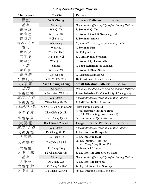| <b>Characters</b> | Pīn-Yīn                 | Pattern                                                            |
|-------------------|-------------------------|--------------------------------------------------------------------|
| 胃 証               | Wèi Zhèng               | <b>Stomach Patterns</b><br>$(10+1=11)$                             |
| 虛証                | Xū Zhèng                | Depletion/Insufficiency/Hypo-functioning Patterns                  |
| 胃氣虛               | Wèi Qì Xū               | 1. Stomach Qi Xu                                                   |
| 胃寒虛               | Wèi Hán Xū              | 2. Stomach Cold & Xu (Yang Xu)                                     |
| 胃陰虛               | Wèi Yīn Xū              | 3. Stomach Yin Xu                                                  |
| 實証/实证             | Shí Zhèng               | Repletion/Excess/Hyper-functioning Patterns                        |
| 胃 火               | Wèi Huǒ                 | 4. Stomach Fire                                                    |
| 胃痰火               | Wèi Tán Huǒ             | 4a. Phlegm & Fire                                                  |
| 寒犯胃               | Hán Fàn Wèi             | 5. Cold Invades Stomach                                            |
| 胃 氣 逆             | Wèi Qì Nì               | 6. Stomach Qi Counterflow                                          |
| 食滯                | Shí Zhì                 | 7. Food Retention (in Stomach)                                     |
| 胃血瘀               | Wèi Xuè Yū              | 8. Stomach Blood Stasis                                            |
| 胃氣滯               | Wèi Qì Zhì              | 9. Stagnant Stomach Qi                                             |
| 肝鬱犯胃              | Gān Yù Fàn Wèi          | 10. Constrained Liver Invades ST                                   |
| 小腸証               | <b>Xiǎo Cháng Zhèng</b> | <b>Small Intestine Patterns</b><br>$(3+1=4)$                       |
| 虛証                | Xū Zhèng                | Depletion/Insufficiency/Hypo-functioning Patterns                  |
| 小腸虛寒              | Xiăo Cháng Xū Hán       | 1. Sm. Intestine Xu & Cold (Sp/ST Yang Xu)                         |
| 實証/实证             | Shí Zhèng               | Repletion/Excess/Hyper-functioning Patterns                        |
| 小腸濕熱              | Xiăo Cháng Shí Rè       | 2. Full Heat in Sm. Intestine                                      |
| 心移熱于小腸            | Xīn Yí Rè Yú Xiǎo Cháng | Heart Passes Heat to SI                                            |
| 小腸氣滯              | Xiăo Cháng Qì Zhì       | 3. Sm. Intestine Qi Stagnation<br>(Cold Obstructing Liver Channel) |
| 小腸氣阻              | Xiăo Cháng Qì Zǔ        | 3a. Sm. Intestine Qi Obstruction                                   |
| 大腸証               | Dà Cháng Zhèng          | <b>Large Intestine Patterns</b><br>$(5+6=11)$                      |
| 實証/实证             | Shí Zhèng               | Repletion/Excess/Hyper-functioning Patterns                        |
| 大腸濕熱              | Dà Cháng Shí Rè         | 1. Lg. Intestine Damp-Heat                                         |
| 大腸熱               | Dà Cháng Rè             | 2. Lg. Intestine Heat                                              |
| 大腸熱結              | Dà Cháng Rè Jié         | 2a. Lg. Intestine Heat Bind<br>aka Yang Ming Bowel Pattern         |
| 大腸癰               | Dà Cháng Yōng           | 2b. Intestinal Abscess                                             |
| 大腸犯寒              | Dà Cháng Fàn Hán        | 3. Lg. Intestine Attacked by Cold                                  |
| 虛証                | Xū Zhèng                | Depletion/Insufficiency/Hypo-functioning Patterns                  |
| 大腸燥               | Dà Cháng Zào            | 4. Lg. Intestine Dryness                                           |
| 大腸液虧              | Dà Cháng Yè Kuī         | 4a. Lg. Intestine Fluid Shortage                                   |
| 大腸血虛              | Dà Cháng Xuè Xū         | 4b. Lg. Intestine Blood Deficiency                                 |